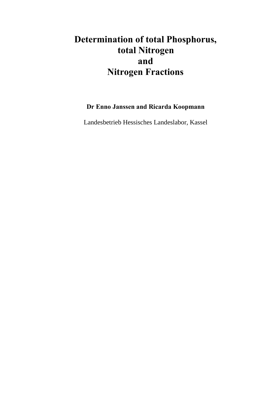# **Determination of total Phosphorus, total Nitrogen and Nitrogen Fractions**

**Dr Enno Janssen and Ricarda Koopmann**

Landesbetrieb Hessisches Landeslabor, Kassel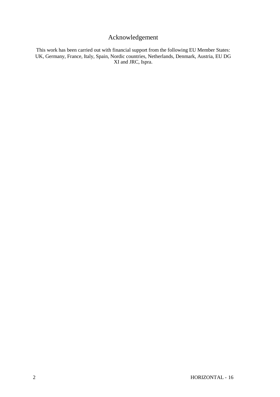# Acknowledgement

This work has been carried out with financial support from the following EU Member States: UK, Germany, France, Italy, Spain, Nordic countries, Netherlands, Denmark, Austria, EU DG XI and JRC, Ispra.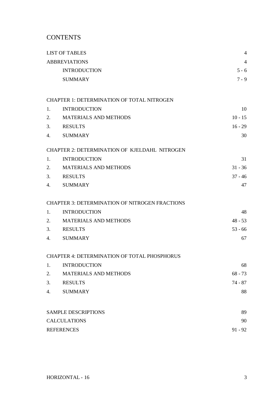# **CONTENTS**

|    | <b>LIST OF TABLES</b>                                 | $\overline{4}$ |
|----|-------------------------------------------------------|----------------|
|    | <b>ABBREVIATIONS</b>                                  | $\overline{4}$ |
|    | <b>INTRODUCTION</b>                                   | $5 - 6$        |
|    | <b>SUMMARY</b>                                        | $7 - 9$        |
|    | <b>CHAPTER 1: DETERMINATION OF TOTAL NITROGEN</b>     |                |
| 1. | <b>INTRODUCTION</b>                                   | 10             |
| 2. | <b>MATERIALS AND METHODS</b>                          | $10 - 15$      |
| 3. | <b>RESULTS</b>                                        | $16 - 29$      |
| 4. | <b>SUMMARY</b>                                        | 30             |
|    | <b>CHAPTER 2: DETERMINATION OF KJELDAHL NITROGEN</b>  |                |
| 1. | <b>INTRODUCTION</b>                                   | 31             |
| 2. | <b>MATERIALS AND METHODS</b>                          | $31 - 36$      |
| 3. | <b>RESULTS</b>                                        | $37 - 46$      |
| 4. | <b>SUMMARY</b>                                        | 47             |
|    | <b>CHAPTER 3: DETERMINATION OF NITROGEN FRACTIONS</b> |                |
| 1. | <b>INTRODUCTION</b>                                   | 48             |
| 2. | <b>MATERIALS AND METHODS</b>                          | $48 - 53$      |
| 3. | <b>RESULTS</b>                                        | $53 - 66$      |
| 4. | <b>SUMMARY</b>                                        | 67             |
|    | CHAPTER 4: DETERMINATION OF TOTAL PHOSPHORUS          |                |
| 1. | <b>INTRODUCTION</b>                                   | 68             |
| 2. | MATERIALS AND METHODS                                 | $68 - 73$      |
| 3. | <b>RESULTS</b>                                        | $74 - 87$      |
| 4. | <b>SUMMARY</b>                                        | 88             |
|    | <b>SAMPLE DESCRIPTIONS</b>                            | 89             |
|    | <b>CALCULATIONS</b>                                   | 90             |
|    | <b>REFERENCES</b>                                     | $91 - 92$      |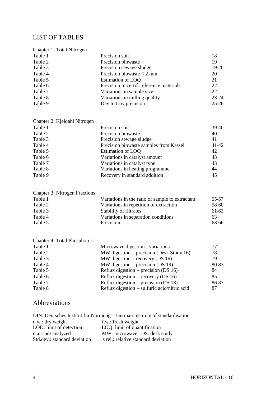# <span id="page-3-0"></span>LIST OF TABLES

| Chapter 1: Total Nitrogen |                                          |           |
|---------------------------|------------------------------------------|-----------|
| Table 1                   | Precision soil                           | 18        |
| Table 2                   | Precision biowaste                       | 19        |
| Table 3                   | Precision sewage sludge                  | 19-20     |
| Table 4                   | Precision biowaste $<$ 2 mm              | 20        |
| Table 5                   | Estimation of LOQ                        | 21        |
| Table 6                   | Precision in certif. reference materials | 22        |
| Table 7                   | Variations in sample size                | 22        |
| Table 8                   | Variations in milling quality            | 23-24     |
| Table 9                   | Day to Day precision                     | $25 - 26$ |

Chapter 2: Kjeldahl Nitrogen

| Table 1 | Precision soil                         | 39-40 |
|---------|----------------------------------------|-------|
| Table 2 | Precision biowaste                     | 40    |
| Table 3 | Precision sewage sludge                | 41    |
| Table 4 | Precision biowaste samples from Kassel | 41-42 |
| Table 5 | Estimation of LOQ                      | 42    |
| Table 6 | Variations in catalyst amount          | 43    |
| Table 7 | Variations in catalyst type            | 43    |
| Table 8 | Variations in heating programme        | 44    |
| Table 9 | Recovery in standard addition          | 45    |
|         |                                        |       |

| <b>Chapter 3: Nitrogen Fractions</b> |  |  |
|--------------------------------------|--|--|
|--------------------------------------|--|--|

| Table 1 | Variations in the ratio of sample to extractant | 55-57 |
|---------|-------------------------------------------------|-------|
| Table 2 | Variations in repetition of extraction          | 58-60 |
| Table 3 | <b>Stability of filtrates</b>                   | 61-62 |
| Table 4 | Variations in separation conditions             | 63    |
| Table 5 | Precision                                       | 63-66 |

| <b>Chapter 4: Total Phosphorus</b> |                                              |       |
|------------------------------------|----------------------------------------------|-------|
| Table 1                            | Microwave digestion - variations             | 77    |
| Table 2                            | MW digestion – precision (Desk Study 16)     | 78    |
| Table 3                            | MW digestion – recovery (DS $16$ )           | 79    |
| Table 4                            | MW digestion – precision (DS 19)             | 80-83 |
| Table 5                            | Reflux digestion – precision (DS $16$ )      | 84    |
| Table 6                            | Reflux digestion – recovery (DS 16)          | 85    |
| Table 7                            | Reflux digestion – precision (DS 18)         | 86-87 |
| Table 8                            | Reflux digestion – sulfuric acid/nitric acid | 87    |

# Abbreviations

|                              | DIN: Deutsches Institut für Normung – German Institute of standardisation |
|------------------------------|---------------------------------------------------------------------------|
| $d.w.:$ dry weight           | f.w.: fresh weight                                                        |
| LOD: limit of detection      | LOQ: limit of quantification                                              |
| n.a.: not analyzed           | MW: microwave DS: desk study                                              |
| Std.dev.: standard deviation | s rel.: relative standard deviation                                       |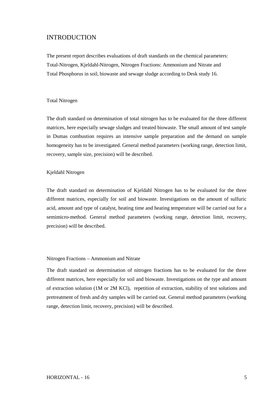### INTRODUCTION

The present report describes evaluations of draft standards on the chemical parameters: Total-Nitrogen, Kjeldahl-Nitrogen, Nitrogen Fractions: Ammonium and Nitrate and Total Phosphorus in soil, biowaste and sewage sludge according to Desk study 16.

#### Total Nitrogen

The draft standard on determination of total nitrogen has to be evaluated for the three different matrices, here especially sewage sludges and treated biowaste. The small amount of test sample in Dumas combustion requires an intensive sample preparation and the demand on sample homogeneity has to be investigated. General method parameters (working range, detection limit, recovery, sample size, precision) will be described.

#### Kjeldahl Nitrogen

The draft standard on determination of Kjeldahl Nitrogen has to be evaluated for the three different matrices, especially for soil and biowaste. Investigations on the amount of sulfuric acid, amount and type of catalyst, heating time and heating temperature will be carried out for a semimicro-method. General method parameters (working range, detection limit, recovery, precision) will be described.

#### Nitrogen Fractions – Ammonium and Nitrate

The draft standard on determination of nitrogen fractions has to be evaluated for the three different matrices, here especially for soil and biowaste. Investigations on the type and amount of extraction solution (1M or 2M KCl), repetition of extraction, stability of test solutions and pretreatment of fresh and dry samples will be carried out. General method parameters (working range, detection limit, recovery, precision) will be described.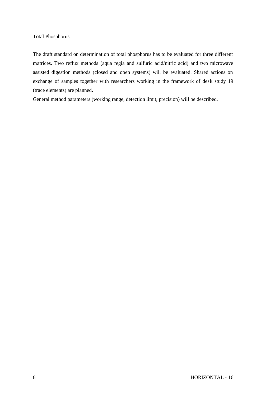### Total Phosphorus

The draft standard on determination of total phosphorus has to be evaluated for three different matrices. Two reflux methods (aqua regia and sulfuric acid/nitric acid) and two microwave assisted digestion methods (closed and open systems) will be evaluated. Shared actions on exchange of samples together with researchers working in the framework of desk study 19 (trace elements) are planned.

General method parameters (working range, detection limit, precision) will be described.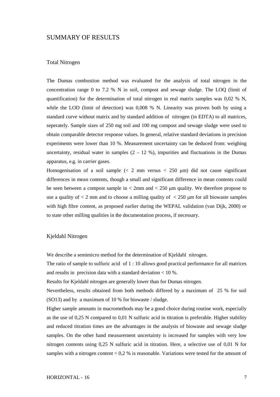#### SUMMARY OF RESULTS

#### Total Nitrogen

The Dumas combustion method was evaluated for the analysis of total nitrogen in the concentration range 0 to 7.2 % N in soil, compost and sewage sludge. The LOQ (limit of quantification) for the determination of total nitrogen in real matrix samples was 0,02 % N, while the LOD (limit of detection) was 0,008 % N. Linearity was proven both by using a standard curve without matrix and by standard addition of nitrogen (in EDTA) to all matrices, seperately. Sample sizes of 250 mg soil and 100 mg compost and sewage sludge were used to obtain comparable detector response values. In general, relative standard deviations in precision experiments were lower than 10 %. Measurement uncertainty can be deduced from: weighing uncertainty, residual water in samples  $(2 - 12, 9)$ , impurities and fluctuations in the Dumas apparatus, e.g. in carrier gases.

Homogenisation of a soil sample  $\langle \leq 2 \text{ mm}$  versus  $\leq 250 \text{ \mu m}$ ) did not cause significant differences in mean contents, though a small and significant difference in mean contents could be seen between a compost sample in  $\lt 2$ mm and  $\lt 250$  µm quality. We therefore propose to use a quality of  $\lt 2$  mm and to choose a milling quality of  $\lt 250$  µm for all biowaste samples with high fibre content, as proposed earlier during the WEPAL validation (van Dijk, 2000) or to state other milling qualities in the documentation process, if necessary.

#### Kjeldahl Nitrogen

We describe a semimicro method for the determination of Kjeldahl nitrogen.

The ratio of sample to sulfuric acid of 1 : 10 allows good practical performance for all matrices and results in precision data with a standard deviation < 10 %.

Results for Kjeldahl nitrogen are generally lower than for Dumas nitrogen.

Nevertheless, results obtained from both methods differed by a maximum of 25 % for soil (SO13) and by a maximum of 10 % for biowaste / sludge.

Higher sample amounts in macromethods may be a good choice during routine work, especially as the use of 0,25 N compared to 0,01 N sulfuric acid in titration is preferable. Higher stability and reduced titration times are the advantages in the analysis of biowaste and sewage sludge samples. On the other hand measurement uncertainty is increased for samples with very low nitrogen contents using 0,25 N sulfuric acid in titration. Here, a selective use of 0,01 N for samples with a nitrogen content  $< 0.2$  % is reasonable. Variations were tested for the amount of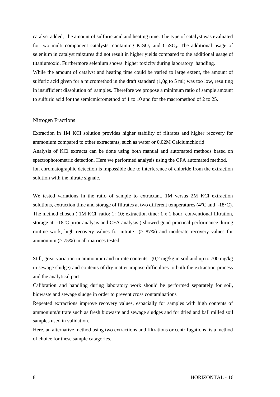catalyst added, the amount of sulfuric acid and heating time. The type of catalyst was evaluated for two multi component catalysts, containing  $K_2SO_4$  and  $CuSO_4$ . The additional usage of selenium in catalyst mixtures did not result in higher yields compared to the additional usage of titaniumoxid. Furthermore selenium shows higher toxicity during laboratory handling. While the amount of catalyst and heating time could be varied to large extent, the amount of sulfuric acid given for a micromethod in the draft standard (1,0g to 5 ml) was too low, resulting in insufficient dissolution of samples. Therefore we propose a minimum ratio of sample amount to sulfuric acid for the semicmicromethod of 1 to 10 and for the macromethod of 2 to 25.

#### Nitrogen Fractions

Extraction in 1M KCl solution provides higher stability of filtrates and higher recovery for ammonium compared to other extractants, such as water or 0,02M Calciumchlorid. Analysis of KCl extracts can be done using both manual and automated methods based on spectrophotometric detection. Here we performed analysis using the CFA automated method. Ion chromatographic detection is impossible due to interference of chloride from the extraction solution with the nitrate signale.

We tested variations in the ratio of sample to extractant, 1M versus 2M KCl extraction solutions, extraction time and storage of filtrates at two different temperatures (4°C and -18°C). The method chosen ( 1M KCl, ratio: 1: 10; extraction time: 1 x 1 hour; conventional filtration, storage at -18°C prior analysis and CFA analysis ) showed good practical performance during routine work, high recovery values for nitrate (> 87%) and moderate recovery values for ammonium  $($  > 75%) in all matrices tested.

Still, great variation in ammonium and nitrate contents: (0,2 mg/kg in soil and up to 700 mg/kg in sewage sludge) and contents of dry matter impose difficulties to both the extraction process and the analytical part.

Calibration and handling during laboratory work should be performed separately for soil, biowaste and sewage sludge in order to prevent cross contaminations

Repeated extractions improve recovery values, espacially for samples with high contents of ammonium/nitrate such as fresh biowaste and sewage sludges and for dried and ball milled soil samples used in validation.

Here, an alternative method using two extractions and filtrations or centrifugations is a method of choice for these sample catagories.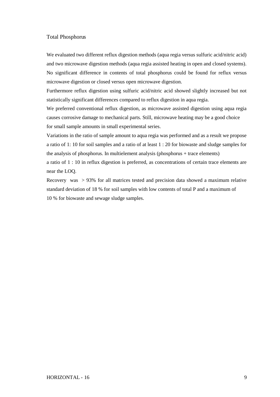#### Total Phosphorus

We evaluated two different reflux digestion methods (aqua regia versus sulfuric acid/nitric acid) and two microwave digestion methods (aqua regia assisted heating in open and closed systems). No significant difference in contents of total phosphorus could be found for reflux versus microwave digestion or closed versus open microwave digestion.

Furthermore reflux digestion using sulfuric acid/nitric acid showed slightly increased but not statistically significant differences compared to reflux digestion in aqua regia.

We preferred conventional reflux digestion, as microwave assisted digestion using aqua regia causes corrosive damage to mechanical parts. Still, microwave heating may be a good choice for small sample amounts in small experimental series.

Variations in the ratio of sample amount to aqua regia was performed and as a result we propose a ratio of 1: 10 for soil samples and a ratio of at least 1 : 20 for biowaste and sludge samples for the analysis of phosphorus. In multielement analysis (phosphorus + trace elements)

a ratio of 1 : 10 in reflux digestion is preferred, as concentrations of certain trace elements are near the LOQ.

Recovery was > 93% for all matrices tested and precision data showed a maximum relative standard deviation of 18 % for soil samples with low contents of total P and a maximum of 10 % for biowaste and sewage sludge samples.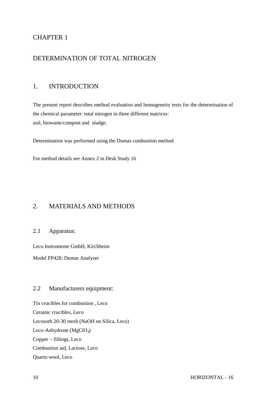# CHAPTER 1

### DETERMINATION OF TOTAL NITROGEN

### 1. INTRODUCTION

The present report describes method evaluation and homogeneity tests for the determination of the chemical parameter: total nitrogen in three different matrices: soil, biowaste/compost and sludge.

Determination was performed using the Dumas combustion method

For method details see Annex 2 in Desk Study 16

# 2. MATERIALS AND METHODS

### 2.1 Apparatus:

Leco Instrumente GmbH, Kirchheim

Model FP428; Dumas Analyzer

### 2.2 Manufacturers equipment:

Tin crucibles for combustion , Leco Ceramic crucibles, Leco Lecosorb 20-30 mesh (NaOH on Silica, Leco) Leco-Anhydrone (MgClO<sub>4</sub>) Copper – fillings, Leco Combustion aid, Lactose, Leco Quartz-wool, Leco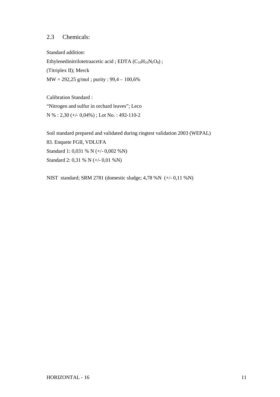### 2.3 Chemicals:

Standard addition: Ethylenedinitrilotetraacetic acid ; EDTA  $(C_{10}H_{16}N_2O_8)$  ; (Titriplex II); Merck  $MW = 292,25$  g/mol; purity : 99,4 – 100,6%

Calibration Standard : "Nitrogen and sulfur in orchard leaves"; Leco N % : 2,30 (+/- 0,04%) ; Lot No. : 492-110-2

Soil standard prepared and validated during ringtest validation 2003 (WEPAL) 83. Enquete FGII, VDLUFA Standard 1: 0,031 % N (+/- 0,002 %N) Standard 2: 0,31 % N (+/- 0,01 %N)

NIST standard; SRM 2781 (domestic sludge; 4,78 %N (+/- 0,11 %N)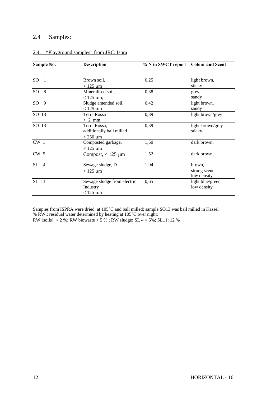# 2.4 Samples:

| Sample No.       | <b>Description</b>          | % N in SWCT report | <b>Colour and Scent</b> |
|------------------|-----------------------------|--------------------|-------------------------|
|                  |                             |                    |                         |
| $SO\overline{1}$ | Brown soil,                 | 0,25               | light brown,            |
|                  | $<$ 125 $\mu$ m             |                    | sticky                  |
| SO8              | Mineralised soil,           | 0,38               | grey,                   |
|                  | $< 125 \mu m$ ;             |                    | sandy                   |
| - 9<br>$SO_{-}$  | Sludge amended soil,        | 0,42               | light brown,            |
|                  | $<$ 125 $\mu$ m             |                    | sandy                   |
| SO 13            | Terra Rossa                 | 0,39               | light brown/grey        |
|                  | $< 2$ mm                    |                    |                         |
| SO 13            | Terra Rossa,                | 0,39               | light-brown/grey        |
|                  | additionally ball milled    |                    | sticky                  |
|                  | $<$ 250 $\mu$ m             |                    |                         |
| $CW_1$           | Composted garbage,          | 1,50               | dark brown,             |
|                  | $<$ 125 $\mu$ m             |                    |                         |
| CW <sub>5</sub>  | Compost, $< 125 \mu m$      | 1,52               | dark brown,             |
|                  |                             |                    |                         |
| $SL$ 4           | Sewage sludge, D            | 1,94               | brown.                  |
|                  | $<$ 125 $\mu$ m             |                    | strong scent            |
|                  |                             |                    | low density             |
| SL 11            | Sewage sludge from electric | 0,65               | light blue/green        |
|                  | Industry                    |                    | low density             |
|                  | $<$ 125 $\mu$ m             |                    |                         |

#### 2.4.1 "Playground samples" from JRC, Ispra

Samples from ISPRA were dried at 105°C and ball milled; sample SO13 was ball milled in Kassel % RW.: residual water determined by heating at 105°C over night: RW (soils) < 2 %; RW biowaste < 5 % ; RW sludge: SL 4 < 5%; SL11: 12 %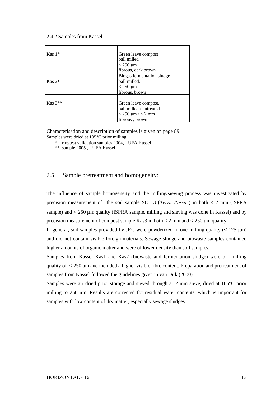#### 2.4.2 Samples from Kassel

| $Kas 1*$             | Green leave compost<br>ball milled<br>$<$ 250 $\mu$ m<br>fibrous, dark brown                        |
|----------------------|-----------------------------------------------------------------------------------------------------|
| $Kas 2^*$            | Biogas fermentation sludge<br>ball-milled,<br>$<$ 250 $\mu$ m<br>fibrous, brown                     |
| $\text{Kas } 3^{**}$ | Green leave compost,<br>ball milled / untreated<br>$< 250 \mu m / < 2 \text{ mm}$<br>fibrous, brown |

Characterisation and description of samples is given on page 89 Samples were dried at 105°C prior milling

\* ringtest validation samples 2004, LUFA Kassel

\*\* sample 2005 , LUFA Kassel

#### 2.5 Sample pretreatment and homogeneity:

The influence of sample homogeneity and the milling/sieving process was investigated by precision measurement of the soil sample SO 13 (*Terra Rossa* ) in both < 2 mm (ISPRA sample) and  $<$  250  $\mu$ m quality (ISPRA sample, milling and sieving was done in Kassel) and by precision measurement of compost sample Kas3 in both  $\lt 2$  mm and  $\lt 250$  µm quality.

In general, soil samples provided by JRC were powderized in one milling quality  $(< 125 \text{ µm})$ and did not contain visible foreign materials. Sewage sludge and biowaste samples contained higher amounts of organic matter and were of lower density than soil samples.

Samples from Kassel Kas1 and Kas2 (biowaste and fermentation sludge) were of milling quality of < 250 μm and included a higher visible fibre content. Preparation and pretreatment of samples from Kassel followed the guidelines given in van Dijk (2000).

Samples were air dried prior storage and sieved through a 2 mm sieve, dried at 105°C prior milling to 250 μm. Results are corrected for residual water contents, which is important for samples with low content of dry matter, especially sewage sludges.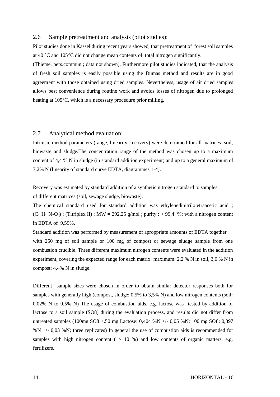#### 2.6 Sample pretreatment and analysis (pilot studies):

Pilot studies done in Kassel during recent years showed, that pretreatment of forest soil samples at 40 °C and 105°C did not change mean contents of total nitrogen significantly.

(Thieme, pers.commun ; data not shown). Furthermore pilot studies indicated, that the analysis of fresh soil samples is easily possible using the Dumas method and results are in good agreement with those obtained using dried samples. Nevertheless, usage of air dried samples allows best convenience during routine work and avoids losses of nitrogen due to prolonged heating at 105°C, which is a necessary procedure prior milling.

#### 2.7 Analytical method evaluation:

Intrinsic method parameters (range, linearity, recovery) were determined for all matrices: soil, biowaste and sludge.The concentration range of the method was chosen up to a maximum content of 4,4 % N in sludge (in standard addition experiment) and up to a general maximum of 7.2% N (linearity of standard curve EDTA, diagrammes 1-4).

Recovery was estimated by standard addition of a synthetic nitrogen standard to samples of different matrices (soil, sewage sludge, biowaste).

The chemical standard used for standard addition was ethylenedinitrilotetraacetic acid ;  $(C_{10}H_{16}N_2O_8)$ ; (Titriplex II); MW = 292,25 g/mol; purity : > 99,4 %; with a nitrogen content in EDTA of 9,59%.

Standard addition was performed by measurement of aproppriate amounts of EDTA together with 250 mg of soil sample or 100 mg of compost or sewage sludge sample from one combustion crucible. Three different maximum nitrogen contents were evaluated in the addition experiment, covering the expected range for each matrix: maximum: 2,2 % N in soil, 3,0 % N in compost; 4,4% N in sludge.

Different sample sizes were chosen in order to obtain similar detector responses both for samples with generally high (compost, sludge: 0,5% to 3,5% N) and low nitrogen contents (soil: 0.02% N to 0,5% N) The usage of combustion aids, e.g. lactose was tested by addition of lactose to a soil sample (SO8) during the evaluation process, and results did not differ from untreated samples (100mg SO8 +.50 mg Lactose: 0,404 %N +/- 0,05 %N; 100 mg SO8: 0,397 %N  $+/-$  0,03 %N; three replicates) In general the use of combustion aids is recommended for samples with high nitrogen content ( $> 10\%$ ) and low contents of organic matters, e.g. fertilizers.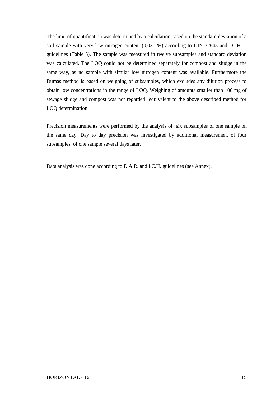The limit of quantification was determined by a calculation based on the standard deviation of a soil sample with very low nitrogen content  $(0.031 \%)$  according to DIN 32645 and I.C.H. – guidelines (Table 5). The sample was measured in twelve subsamples and standard deviation was calculated. The LOQ could not be determined separately for compost and sludge in the same way, as no sample with similar low nitrogen content was available. Furthermore the Dumas method is based on weighing of subsamples, which excludes any dilution process to obtain low concentrations in the range of LOQ. Weighing of amounts smaller than 100 mg of sewage sludge and compost was not regarded equivalent to the above described method for LOQ determination.

Precision measurements were performed by the analysis of six subsamples of one sample on the same day. Day to day precision was investigated by additional measurement of four subsamples of one sample several days later.

Data analysis was done according to D.A.R. and I.C.H. guidelines (see Annex).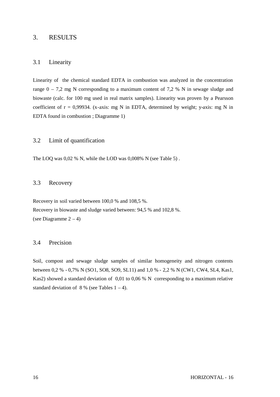### 3. RESULTS

#### 3.1 Linearity

Linearity of the chemical standard EDTA in combustion was analyzed in the concentration range  $0 - 7.2$  mg N corresponding to a maximum content of 7,2 % N in sewage sludge and biowaste (calc. for 100 mg used in real matrix samples). Linearity was proven by a Pearsson coefficient of  $r = 0.99934$ . (x-axis: mg N in EDTA, determined by weight; y-axis: mg N in EDTA found in combustion ; Diagramme 1)

#### 3.2 Limit of quantification

The LOO was 0.02 % N, while the LOD was 0.008% N (see Table 5).

#### 3.3 Recovery

Recovery in soil varied between 100,0 % and 108,5 %. Recovery in biowaste and sludge varied between: 94,5 % and 102,8 %. (see Diagramme 2 – 4)

#### 3.4 Precision

Soil, compost and sewage sludge samples of similar homogeneity and nitrogen contents between 0,2 % - 0,7% N (SO1, SO8, SO9, SL11) and 1,0 % - 2,2 % N (CW1, CW4, SL4, Kas1, Kas2) showed a standard deviation of 0,01 to 0,06 % N corresponding to a maximum relative standard deviation of  $8\%$  (see Tables  $1-4$ ).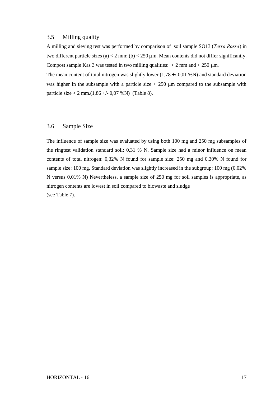#### 3.5 Milling quality

A milling and sieving test was performed by comparison of soil sample SO13 (*Terra Rossa*) in two different particle sizes (a) < 2 mm; (b) <  $250 \mu$ m. Mean contents did not differ significantly. Compost sample Kas 3 was tested in two milling qualities:  $\langle 2 \text{ mm} \rangle$  and  $\langle 250 \text{ }\mu\text{m} \rangle$ .

The mean content of total nitrogen was slightly lower  $(1,78 + (-0,01 \%)$  and standard deviation was higher in the subsample with a particle size  $<$  250  $\mu$ m compared to the subsample with particle size < 2 mm. $(1,86 +/-0,07 %$ N) (Table 8).

#### 3.6 Sample Size

The influence of sample size was evaluated by using both 100 mg and 250 mg subsamples of the ringtest validation standard soil: 0,31 % N. Sample size had a minor influence on mean contents of total nitrogen: 0,32% N found for sample size: 250 mg and 0,30% N found for sample size: 100 mg. Standard deviation was slightly increased in the subgroup: 100 mg (0,02% N versus 0,01% N) Nevertheless, a sample size of 250 mg for soil samples is appropriate, as nitrogen contents are lowest in soil compared to biowaste and sludge (see Table 7).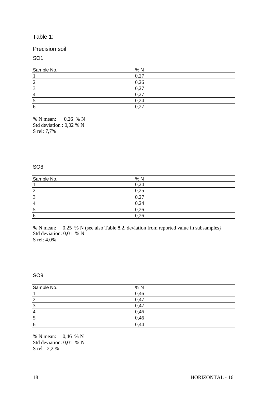### Table 1:

#### Precision soil

SO1

| Sample No.     | %N   |
|----------------|------|
|                | 0,27 |
| $\overline{2}$ | 0,26 |
| 3              | 0,27 |
| 4              | 0,27 |
| כו             | 0,24 |
| $\overline{6}$ | 0,27 |

% N mean: 0,26 % N Std deviation : 0,02 % N S rel: 7,7%

#### SO8

| Sample No.     | %N                                               |
|----------------|--------------------------------------------------|
|                | 0,24                                             |
| ⌒<br>↩         | 0,25                                             |
| $\bigcap$      | ሰ  ንግ<br>$\mathsf{U}_\bullet \mathsf{L}_\bullet$ |
| $\overline{4}$ | 0,24                                             |
| ັ              | 0,26                                             |
| 6              | 0,26                                             |

% N mean: 0,25 % N (see also Table 8.2, deviation from reported value in subsamples*)* Std deviation: 0,01 % N S rel: 4,0%

SO9

| Sample No. | % N  |
|------------|------|
|            | 0,46 |
| ി          | 0,47 |
|            | 0,47 |
| 4          | 0,46 |
| ت          | 0,46 |
| 6          | 0,44 |

% N mean: 0,46 % N Std deviation: 0,01 % N S rel : 2,2 %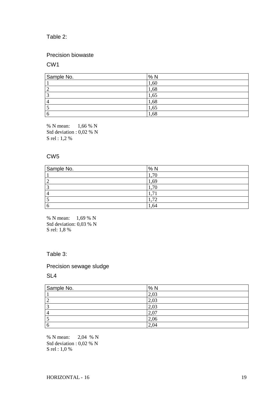### Table 2:

### Precision biowaste

#### CW1

| Sample No.     | %N   |
|----------------|------|
|                | 1,60 |
| $\overline{2}$ | 1,68 |
| 3              | 1,65 |
| $\overline{4}$ | 1,68 |
| ς              | 1,65 |
| <sup>6</sup>   | 1,68 |

% N mean: 1,66 % N Std deviation : 0,02 % N S rel : 1,2 %

#### CW5

| Sample No. | %N   |
|------------|------|
|            | 70   |
|            | 1,69 |
|            | 1,70 |
|            |      |
|            | ,72  |
|            | ,64  |

% N mean: 1,69 % N Std deviation: 0,03 % N S rel: 1,8 %

#### Table 3:

### Precision sewage sludge

#### SL4

| Sample No.     | %N   |
|----------------|------|
|                | 2,03 |
| $\overline{2}$ | 2,03 |
| 3              | 2,03 |
| $\overline{4}$ | 2,07 |
| ς              | 2,06 |
| <b>6</b>       | 2,04 |

% N mean: 2,04 % N Std deviation : 0,02 % N S rel : 1,0 %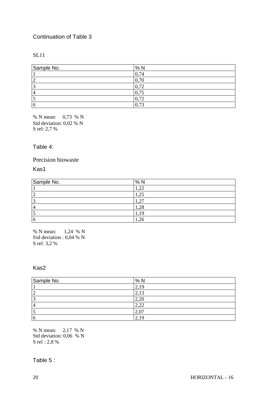### Continuation of Table 3

### SL11

| Sample No.     | % N  |  |
|----------------|------|--|
|                | 0,74 |  |
| C<br>∼         | 0,70 |  |
|                | 0,72 |  |
| $\overline{4}$ | 0,75 |  |
|                | 0,72 |  |
| 6              | 0,73 |  |

% N mean: 0,73 % N Std deviation: 0,02 % N S rel: 2,7 %

#### Table 4:

### Precision biowaste

Kas1

| Sample No.     | %N   |
|----------------|------|
|                | 1,22 |
| $\overline{2}$ | 1,25 |
| $\overline{3}$ |      |
| 4              | 1,28 |
| D              | 1 C  |
| $\overline{6}$ | 1,26 |

% N mean: 1,24 % N Std deviation : 0,04 % N S rel: 3,2 %

### Kas2

| Sample No.     | %N   |
|----------------|------|
|                | 2,19 |
| ∼              | 2,13 |
| $\sqrt{2}$     | 2,20 |
| $\overline{4}$ | 2,22 |
|                | 2,07 |
| 6              | 2,19 |

% N mean: 2,17 % N Std deviation: 0,06 % N S rel : 2,8 %

Table 5 :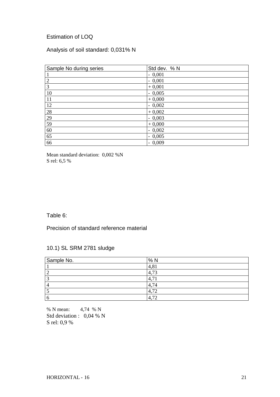## Estimation of LOQ

# Analysis of soil standard: 0,031% N

| Sample No during series | Std dev. % N |
|-------------------------|--------------|
|                         | $-0,001$     |
| $\overline{2}$          | $-0,001$     |
| 3                       | $+0,001$     |
| 10                      | $-0,005$     |
| <sup>11</sup>           | $+0,000$     |
| 12                      | $-0,002$     |
| 28                      | $+0,002$     |
| 29                      | $-0,003$     |
| 59                      | $+0,000$     |
| 60                      | $-0,002$     |
| 65                      | $-0,005$     |
| 66                      | $-0,009$     |

Mean standard deviation: 0,002 %N S rel: 6,5 %

### Table 6:

### Precision of standard reference material

### 10.1) SL SRM 2781 sludge

| Sample No. | %N           |
|------------|--------------|
|            | 4,81         |
|            | 73           |
|            | 4.           |
|            | 4,74         |
| ~          | 4,72         |
| n          | 4.<br>$\tau$ |

% N mean: 4,74 % N Std deviation : 0,04 % N S rel: 0,9 %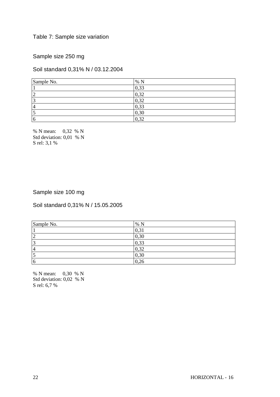### Table 7: Sample size variation

Sample size 250 mg

Soil standard 0,31% N / 03.12.2004

| Sample No.     | %N   |
|----------------|------|
|                | 0,33 |
| $\bigcap$<br>∽ | 0,32 |
| $\sqrt{2}$     | 0,32 |
| $\overline{4}$ | 0,33 |
|                | 0,30 |
| 6              | 0,32 |

% N mean: 0,32 % N Std deviation: 0,01 % N S rel: 3,1 %

### Sample size 100 mg

Soil standard 0,31% N / 15.05.2005

| Sample No.     | % N  |
|----------------|------|
|                | 0,31 |
| 2              | 0,30 |
| $\overline{3}$ | 0,33 |
| 4              | 0,32 |
| 15             | 0,30 |
| $\overline{6}$ | 0,26 |

% N mean: 0,30 % N Std deviation: 0,02 % N S rel: 6,7 %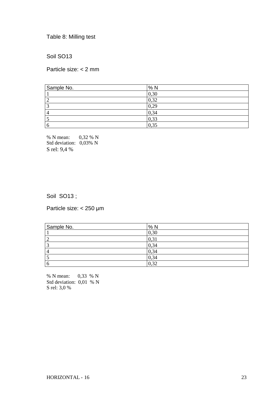Table 8: Milling test

Soil SO13

Particle size: < 2 mm

| Sample No.     | %N   |
|----------------|------|
|                | 0,30 |
| ി<br>∠         | 0,32 |
| 3              | 0,29 |
| $\overline{4}$ | 0,34 |
| J              | 0,33 |
| -6             | 0,35 |

% N mean: 0,32 % N Std deviation: 0,03% N S rel: 9,4 %

### Soil SO13;

Particle size: < 250 μm

| Sample No.               | %N   |
|--------------------------|------|
|                          | 0,30 |
| $\overline{\phantom{a}}$ | 0,31 |
| $\overline{\phantom{a}}$ | 0,34 |
| 4                        | 0,34 |
|                          | 0,34 |
|                          | 0,32 |

% N mean: 0,33 % N Std deviation: 0,01 % N S rel: 3,0 %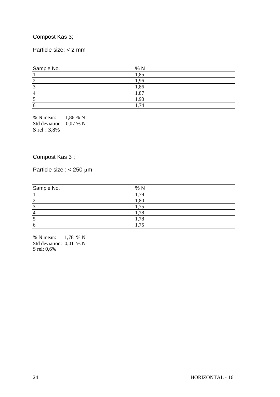### Compost Kas 3;

### Particle size: < 2 mm

| Sample No.     | % N  |
|----------------|------|
|                | 1,85 |
| ∽              | 1,96 |
|                | 1,86 |
| $\overline{4}$ | 1,87 |
|                | 1,90 |
| 6              | 1,74 |

% N mean: 1,86 % N Std deviation: 0,07 % N S rel : 3,8%

### Compost Kas 3 ;

Particle size :  $< 250 \mu m$ 

| Sample No.    | %N         |
|---------------|------------|
|               | 7С         |
| <u>n</u><br>∠ | 1,80       |
| -2<br>ت       | ⇁          |
| 4             | .78<br>٠.  |
| ت             | .78<br>. . |
| 16            | ユミ<br>л.   |

% N mean: 1,78 % N Std deviation: 0,01 % N S rel: 0,6%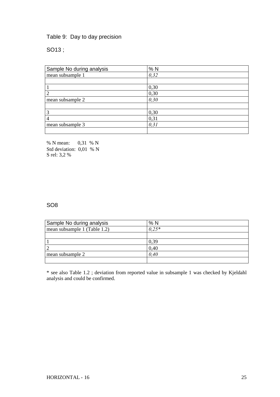### Table 9: Day to day precision

SO13 ;

| Sample No during analysis | %N    |
|---------------------------|-------|
| mean subsample 1          | 0,32  |
|                           |       |
|                           | 0,30  |
| $\overline{2}$            | 0,30  |
| mean subsample 2          | 0,30  |
|                           |       |
| 3                         | 0,30  |
| 4                         | 0,31  |
| mean subsample 3          | 0, 31 |
|                           |       |

% N mean: 0,31 % N Std deviation: 0,01 % N S rel: 3,2 %

### SO8

| Sample No during analysis    | % N     |
|------------------------------|---------|
| mean subsample 1 (Table 1.2) | $0.25*$ |
|                              |         |
|                              | 0,39    |
|                              | 0,40    |
| mean subsample 2             | 0.40    |
|                              |         |

\* see also Table 1.2 ; deviation from reported value in subsample 1 was checked by Kjeldahl analysis and could be confirmed.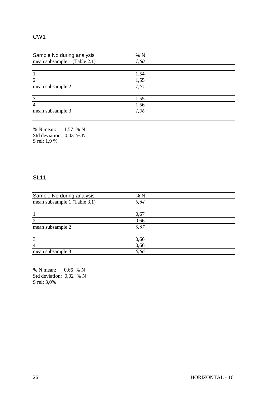### CW1

| Sample No during analysis    | %N   |
|------------------------------|------|
| mean subsample 1 (Table 2.1) | 1,60 |
|                              |      |
|                              | 1,54 |
| $\overline{2}$               | 1,55 |
| mean subsample 2             | 1,55 |
|                              |      |
| 3                            | 1,55 |
| $\overline{4}$               | 1,56 |
| mean subsample 3             | 1,56 |
|                              |      |

% N mean: 1,57 % N Std deviation: 0,03 % N S rel: 1,9 %

### SL11

| Sample No during analysis    | %N   |
|------------------------------|------|
| mean subsample 1 (Table 3.1) | 0,64 |
|                              |      |
|                              | 0,67 |
| $\overline{2}$               | 0,66 |
| mean subsample 2             | 0,67 |
|                              |      |
| 3                            | 0,66 |
| $\overline{4}$               | 0,66 |
| mean subsample 3             | 0,66 |
|                              |      |

% N mean: 0,66 % N Std deviation: 0,02 % N S rel: 3,0%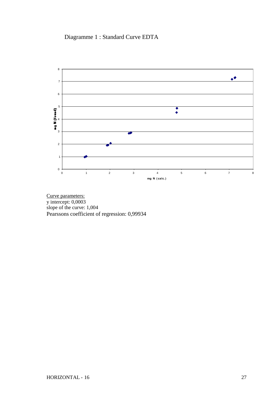Diagramme 1 : Standard Curve EDTA



Curve parameters: y intercept: 0,0003 slope of the curve: 1,004 Pearssons coefficient of regression: 0,99934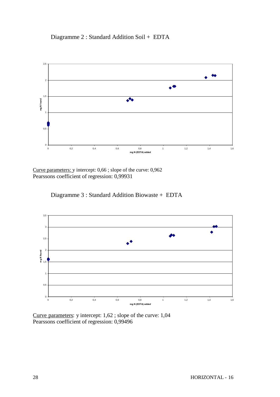# Diagramme 2 : Standard Addition Soil + EDTA



Curve parameters: y intercept: 0,66 ; slope of the curve: 0,962 Pearssons coefficient of regression: 0,99931

Diagramme 3 : Standard Addition Biowaste + EDTA



Curve parameters: y intercept: 1,62 ; slope of the curve: 1,04 Pearssons coefficient of regression: 0,99496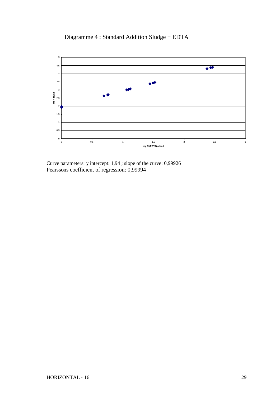



Curve parameters: y intercept: 1,94 ; slope of the curve: 0,99926 Pearssons coefficient of regression: 0,99994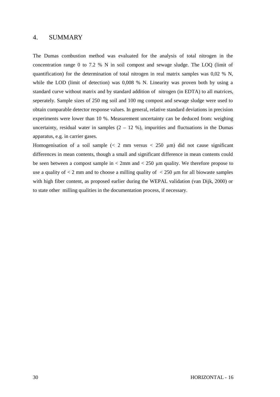#### 4. SUMMARY

The Dumas combustion method was evaluated for the analysis of total nitrogen in the concentration range 0 to 7.2 % N in soil compost and sewage sludge. The LOQ (limit of quantification) for the determination of total nitrogen in real matrix samples was  $0.02 \%$  N, while the LOD (limit of detection) was 0,008 % N. Linearity was proven both by using a standard curve without matrix and by standard addition of nitrogen (in EDTA) to all matrices, seperately. Sample sizes of 250 mg soil and 100 mg compost and sewage sludge were used to obtain comparable detector response values. In general, relative standard deviations in precision experiments were lower than 10 %. Measurement uncertainty can be deduced from: weighing uncertainty, residual water in samples  $(2 - 12, %)$ , impurities and fluctuations in the Dumas apparatus, e.g. in carrier gases.

Homogenisation of a soil sample  $\ll$  2 mm versus  $\lt$  250  $\mu$ m) did not cause significant differences in mean contents, though a small and significant difference in mean contents could be seen between a compost sample in  $\lt 2$ mm and  $\lt 250$  µm quality. We therefore propose to use a quality of  $\lt 2$  mm and to choose a milling quality of  $\lt 250$  µm for all biowaste samples with high fiber content, as proposed earlier during the WEPAL validation (van Dijk, 2000) or to state other milling qualities in the documentation process, if necessary.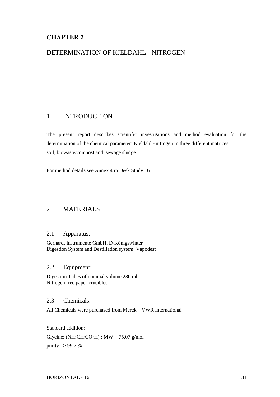# **CHAPTER 2**

### DETERMINATION OF KJELDAHL - NITROGEN

### 1 INTRODUCTION

The present report describes scientific investigations and method evaluation for the determination of the chemical parameter: Kjeldahl - nitrogen in three different matrices: soil, biowaste/compost and sewage sludge.

For method details see Annex 4 in Desk Study 16

### 2 MATERIALS

#### 2.1 Apparatus:

Gerhardt Instrumente GmbH, D-Königswinter Digestion System and Destillation system: Vapodest

#### 2.2 Equipment:

Digestion Tubes of nominal volume 280 ml Nitrogen free paper crucibles

#### 2.3 Chemicals:

All Chemicals were purchased from Merck – VWR International

Standard addition: Glycine; ( $NH<sub>2</sub>CH<sub>2</sub>CO<sub>2</sub>H$ ); MW = 75,07 g/mol purity :  $> 99.7$  %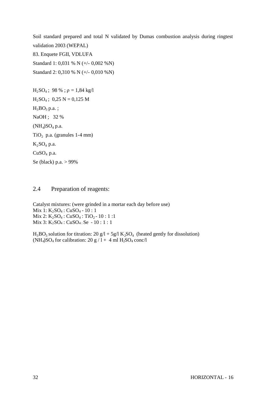Soil standard prepared and total N validated by Dumas combustion analysis during ringtest validation 2003 (WEPAL) 83. Enquete FGII, VDLUFA

Standard 1: 0,031 % N (+/- 0,002 %N) Standard 2: 0,310 % N (+/- 0,010 %N)

 $H_2SO_4$ ; 98 %;  $\rho = 1,84$  kg/l  $H_2SO_4$ ; 0,25 N = 0,125 M  $H_3BO_3 p.a.$ ; NaOH ; 32 %  $(NH<sub>4</sub>)SO<sub>4</sub> p.a.$ TiO<sub>2</sub> p.a. (granules  $1-4$  mm)  $K<sub>2</sub>SO<sub>4</sub>$  p.a. CuSO<sub>4</sub> p.a. Se (black) p.a. > 99%

#### 2.4 Preparation of reagents:

Catalyst mixtures: (were grinded in a mortar each day before use) Mix 1: K<sub>2</sub>SO<sub>4</sub> : CuSO<sub>4</sub> - 10 : 1 Mix 2:  $K_2SO_4$ : CuSO<sub>4</sub>: TiO<sub>2</sub>-10:1:1 Mix 3: K<sub>2</sub>SO<sub>4</sub> : CuSO<sub>4 :</sub> Se - 10 : 1 : 1

 $H_3BO_3$  solution for titration: 20  $g/l + 5g/l K_2SO_4$  (heated gently for dissolution) (NH<sub>4</sub>)SO<sub>4</sub> for calibration: 20 g / 1 + 4 ml H<sub>2</sub>SO<sub>4</sub> conc/l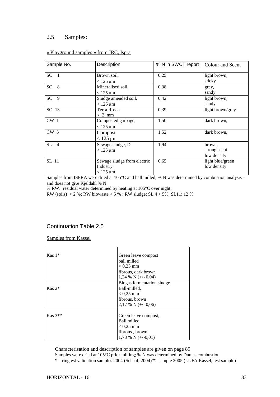#### 2.5 Samples:

| Sample No.      | Description                                                | % N in SWCT report | Colour and Scent                      |
|-----------------|------------------------------------------------------------|--------------------|---------------------------------------|
| SO <sub>1</sub> | Brown soil,<br>$<$ 125 µm                                  | 0,25               | light brown,<br>sticky                |
| SO8             | Mineralised soil,<br>$<$ 125 $\mu$ m                       | 0,38               | grey,<br>sandy                        |
| SO <sub>9</sub> | Sludge amended soil,<br>$<$ 125 $\mu$ m                    | 0,42               | light brown,<br>sandy                 |
| SO 13           | <b>Terra Rossa</b><br>$< 2$ mm                             | 0,39               | light brown/grey                      |
| $CW_1$          | Composted garbage,<br>$<$ 125 µm                           | 1,50               | dark brown,                           |
| CW <sub>5</sub> | Compost<br>$< 125 \mu m$                                   | 1,52               | dark brown,                           |
| $SL$ 4          | Sewage sludge, D<br>$<$ 125 $\mu$ m                        | 1,94               | brown.<br>strong scent<br>low density |
| SL 11           | Sewage sludge from electric<br>Industry<br>$<$ 125 $\mu$ m | 0,65               | light blue/green<br>low density       |

#### « Playground samples » from JRC, Ispra

Samples from ISPRA were dried at 105°C and ball milled, % N was determined by combustion analysis – and does not give Kjeldahl % N

% RW.: residual water determined by heating at 105°C over night:

RW (soils) < 2 %; RW biowaste < 5 % ; RW sludge: SL  $4 < 5\%$ ; SL11: 12 %

#### Continuation Table 2.5

Samples from Kassel

| $Kas 1*$  | Green leave compost        |
|-----------|----------------------------|
|           | ball milled                |
|           | $< 0.25$ mm                |
|           | fibrous, dark brown        |
|           | 1,24 % N $(+/-0.04)$       |
|           | Biogas fermentation sludge |
| $Kas 2^*$ | Ball-milled,               |
|           | $< 0.25$ mm                |
|           | fibrous, brown             |
|           | 2,17 % N $(+/-0.06)$       |
|           |                            |
| $Kas 3**$ | Green leave compost,       |
|           | Ball milled                |
|           | $< 0.25$ mm                |
|           | fibrous, brown             |
|           | 1,78 % N $(+/-0.01)$       |

Characterisation and description of samples are given on page 89

- Samples were dried at 105°C prior milling; % N was determined by Dumas combustion
- \* ringtest validation samples 2004 (Schaaf, 2004)\*\* sample 2005 (LUFA Kassel, test sample)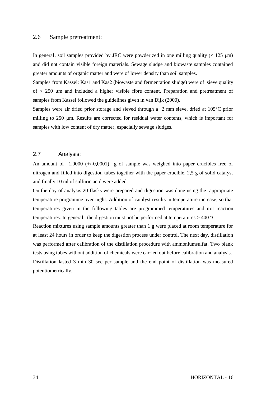#### 2.6 Sample pretreatment:

In general, soil samples provided by JRC were powderized in one milling quality ( $< 125 \mu m$ ) and did not contain visible foreign materials. Sewage sludge and biowaste samples contained greater amounts of organic matter and were of lower density than soil samples.

Samples from Kassel: Kas1 and Kas2 (biowaste and fermentation sludge) were of sieve quality of < 250 μm and included a higher visible fibre content. Preparation and pretreatment of samples from Kassel followed the guidelines given in van Dijk (2000).

Samples were air dried prior storage and sieved through a 2 mm sieve, dried at 105°C prior milling to 250 μm. Results are corrected for residual water contents, which is important for samples with low content of dry matter, espacially sewage sludges.

#### 2.7 Analysis:

An amount of  $1,0000 (+/0,0001)$  g of sample was weighed into paper crucibles free of nitrogen and filled into digestion tubes together with the paper crucible. 2,5 g of solid catalyst and finally 10 ml of sulfuric acid were added.

On the day of analysis 20 flasks were prepared and digestion was done using the appropriate temperature programme over night. Addition of catalyst results in temperature increase, so that temperatures given in the following tables are programmed temperatures and not reaction temperatures. In general, the digestion must not be performed at temperatures  $> 400$  °C Reaction mixtures using sample amounts greater than 1 g were placed at room temperature for at least 24 hours in order to keep the digestion process under control. The next day, distillation was performed after calibration of the distillation procedure with ammoniumsulfat. Two blank tests using tubes without addition of chemicals were carried out before calibration and analysis. Distillation lasted 3 min 30 sec per sample and the end point of distillation was measured potentiometrically.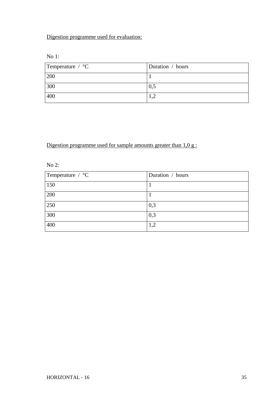# Digestion programme used for evaluation:

No 1:

| Temperature $\div$ °C | Duration / hours |
|-----------------------|------------------|
| 200                   |                  |
| 300                   | 0,5              |
| 400                   |                  |

# Digestion programme used for sample amounts greater than 1,0 g :

No 2:

| Temperature / °C | Duration / hours |
|------------------|------------------|
| 150              |                  |
| 200              |                  |
| 250              | 0,3              |
| 300              | 0,3              |
| 400              | 1,2              |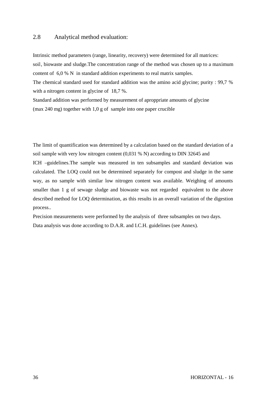#### 2.8 Analytical method evaluation:

Intrinsic method parameters (range, linearity, recovery) were determined for all matrices: soil, biowaste and sludge.The concentration range of the method was chosen up to a maximum content of 6,0 % N in standard addition experiments to real matrix samples. The chemical standard used for standard addition was the amino acid glycine; purity : 99,7 % with a nitrogen content in glycine of 18,7 %. Standard addition was performed by measurement of aproppriate amounts of glycine (max 240 mg) together with 1,0 g of sample into one paper crucible

The limit of quantification was determined by a calculation based on the standard deviation of a soil sample with very low nitrogen content (0,031 % N) according to DIN 32645 and ICH –guidelines.The sample was measured in ten subsamples and standard deviation was calculated. The LOQ could not be determined separately for compost and sludge in the same way, as no sample with similar low nitrogen content was available. Weighing of amounts smaller than 1 g of sewage sludge and biowaste was not regarded equivalent to the above described method for LOQ determination, as this results in an overall variation of the digestion process..

Precision measurements were performed by the analysis of three subsamples on two days. Data analysis was done according to D.A.R. and I.C.H. guidelines (see Annex).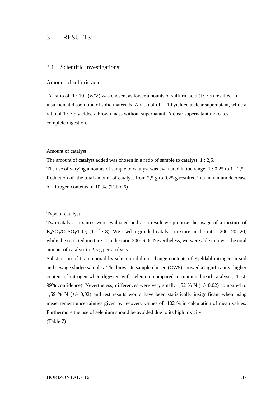### 3 RESULTS:

#### 3.1 Scientific investigations:

### Amount of sulfuric acid:

A ratio of  $1:10 \, (w/V)$  was chosen, as lower amounts of sulfuric acid (1:7,5) resulted in insufficient dissolution of solid materials. A ratio of of 1: 10 yielded a clear supernatant, while a ratio of 1 : 7,5 yielded a brown mass without supernatant. A clear supernatant indicates complete digestion.

#### Amount of catalyst:

The amount of catalyst added was chosen in a ratio of sample to catalyst: 1 : 2,5. The use of varying amounts of sample to catalyst was evaluated in the range: 1 : 0,25 to 1 : 2,5 Reduction of the total amount of catalyst from 2,5 g to 0,25 g resulted in a maximum decrease of nitrogen contents of 10 %. (Table 6)

#### Type of catalyst:

Two catalyst mixtures were evaluated and as a result we propose the usage of a mixture of  $K_2SO_4/CuSO_4/TiO_2$  (Table 8). We used a grinded catalyst mixture in the ratio: 200: 20: 20, while the reported mixture is in the ratio 200: 6: 6. Nevertheless, we were able to lower the total amount of catalyst to 2,5 g per analysis.

Substitution of titaniumoxid by selenium did not change contents of Kjeldahl nitrogen in soil and sewage sludge samples. The biowaste sample chosen (CW5) showed a significantly higher content of nitrogen when digested with selenium compared to titaniumdioxid catalyst (t-Test, 99% confidence). Nevertheless, differences were very small: 1,52 % N (+/- 0,02) compared to 1,59 % N (+/- 0,02) and test results would have been statistically insignificant when using measurement uncertainties given by recovery values of 102 % in calculation of mean values. Furthermore the use of selenium should be avoided due to its high toxicity.

(Table 7)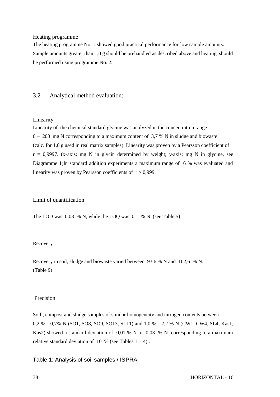### Heating programme

The heating programme No 1. showed good practical performance for low sample amounts. Sample amounts greater than 1,0 g should be prehandled as described above and heating should be performed using programme No. 2.

### 3.2 Analytical method evaluation:

### Linearity

Linearity of the chemical standard glycine was analyzed in the concentration range: 0 – 200 mg N corresponding to a maximum content of 3,7 % N in sludge and biowaste (calc. for 1,0 g used in real matrix samples). Linearity was proven by a Pearsson coefficient of  $r = 0.9997$ . (x-axis: mg N in glycin determined by weight; y-axis: mg N in glycine, see Diagramme 1)In standard addition experiments a maximum range of 6 % was evaluated and linearity was proven by Pearsson coefficients of  $r > 0.999$ .

### Limit of quantification

The LOD was 0,03 % N, while the LOQ was 0,1 % N (see Table 5)

### Recovery

Recovery in soil, sludge and biowaste varied between 93,6 % N and 102,6 % N. (Table 9)

### Precision

Soil , compost and sludge samples of similar homogeneity and nitrogen contents between 0,2 % - 0,7% N (SO1, SO8, SO9, SO13, SL11) and 1,0 % - 2,2 % N (CW1, CW4, SL4, Kas1, Kas2) showed a standard deviation of 0,01 % N to 0,03 % N corresponding to a maximum relative standard deviation of 10 % (see Tables  $1 - 4$ ).

Table 1: Analysis of soil samples / ISPRA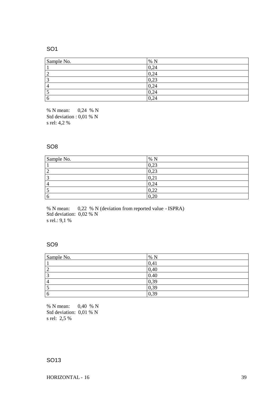### SO1

| Sample No.     | % N                 |
|----------------|---------------------|
|                | 0,24                |
| $\overline{2}$ | 0,24                |
| ◠<br>C         | 0,23                |
| 4              | 0,24                |
|                | 0,24                |
| 6              | ,24<br>$\mathbf{0}$ |

% N mean: 0,24 % N Std deviation : 0,01 % N s rel: 4,2 %

### SO8

| Sample No. | % N  |
|------------|------|
|            | 0,23 |
| ി<br>∼     | 0,23 |
| ◠<br>لہ    | 0,21 |
| 4          | 0,24 |
|            | 0,22 |
| 6          | 0,20 |

% N mean: 0,22 % N (deviation from reported value - ISPRA) Std deviation: 0,02 % N s rel.: 9,1 %

### SO9

| Sample No.     | % N  |
|----------------|------|
|                | 0,41 |
| ာ<br>∠         | 0,40 |
| 3              | 0.40 |
| $\overline{4}$ | 0,39 |
| C              | 0,39 |
| 6              | 0,39 |

% N mean: 0,40 % N Std deviation: 0,01 % N s rel: 2,5 %

## SO13

HORIZONTAL - 16 39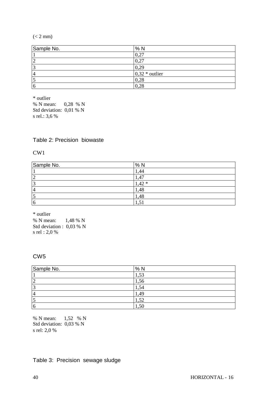### $(< 2$  mm $)$

| Sample No.     | %N               |
|----------------|------------------|
|                | 0,27             |
|                | 0,27             |
| $\sqrt{2}$     | 0,29             |
| $\overline{4}$ | $0,32 *$ outlier |
|                | 0,28             |
| 6              | 0,28             |

\* outlier % N mean: 0,28 % N Std deviation: 0,01 % N s rel.: 3,6 %

### Table 2: Precision biowaste

CW1

| Sample No.      | %N      |
|-----------------|---------|
|                 | .44     |
| ∽               | .47     |
| $\sqrt{2}$<br>ت | $1,42*$ |
| $\overline{4}$  | 1,48    |
| ت               | 1,48    |
| 6               | ر. 1    |

\* outlier

% N mean: 1,48 % N Std deviation : 0,03 % N s rel : 2,0 %

## CW5

| Sample No.     | %N   |
|----------------|------|
|                | 1,53 |
| $\overline{2}$ | 1,56 |
| 3              | 1,54 |
| 4              | 1,49 |
| 10             | 1,52 |
| $\overline{6}$ | 1,50 |

% N mean: 1,52 % N Std deviation: 0,03 % N s rel: 2,0 %

## Table 3: Precision sewage sludge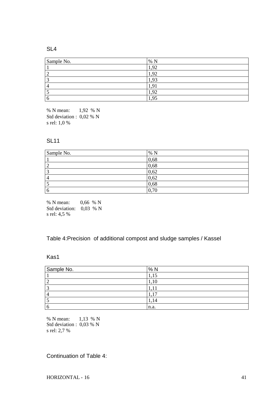### SL4

| Sample No. | % N  |
|------------|------|
|            | ,92  |
|            | ,92  |
|            | .93  |
| 4          | 9    |
|            | ,92  |
| h          | .,95 |

% N mean: 1,92 % N Std deviation : 0,02 % N s rel: 1,0 %

### SL11

| Sample No.     | % N  |
|----------------|------|
|                | 0,68 |
| $\overline{2}$ | 0,68 |
| 3<br>ر         | 0,62 |
| $\overline{4}$ | 0,62 |
|                | 0,68 |
| 6              | 0,70 |

% N mean: 0,66 % N Std deviation: 0,03 % N s rel: 4,5 %

## Table 4:Precision of additional compost and sludge samples / Kassel

## Kas1

| Sample No. | %N      |
|------------|---------|
|            | π,      |
|            | 1,10    |
| ◠          |         |
|            | -<br>л. |
|            | 14<br>  |
|            | n.a.    |

% N mean: 1,13 % N Std deviation : 0,03 % N s rel: 2,7 %

Continuation of Table 4: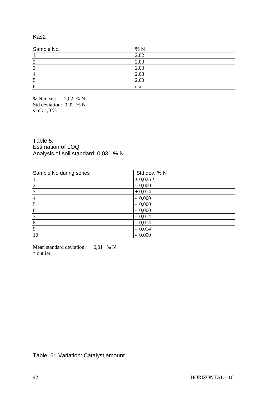### Kas2

| Sample No.     | %N   |
|----------------|------|
|                | 2.02 |
| ◠              | 2,00 |
| ⌒              | 2,03 |
| $\overline{a}$ | 2,03 |
|                | 2,00 |
| 6              | n.a. |

% N mean: 2,02 % N Std deviation: 0,02 % N s rel: 1,0 %

Table 5: Estimation of LOQ Analysis of soil standard: 0,031 % N

| Sample No during series | Std dev. % N |
|-------------------------|--------------|
|                         | $+0.025*$    |
| $\overline{2}$          | $-0,000$     |
| 3                       | $+0,014$     |
| $\overline{4}$          | $-0,000$     |
| $\overline{5}$          | $-0,000$     |
| 6                       | $-0,000$     |
| ┑                       | $-0,014$     |
| 8                       | $-0,014$     |
| $\overline{9}$          | $-0,014$     |
| 10                      | $-0,000$     |

Mean standard deviation:  $0,01 \% N$ \* outlier

Table 6: Variation: Catalyst amount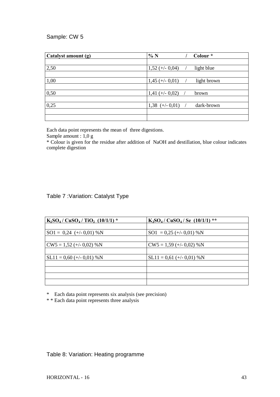## Sample: CW 5

| Catalyst amount (g) | %N                | Colour *    |
|---------------------|-------------------|-------------|
|                     |                   |             |
| 2,50                | $1,52 (+/- 0,04)$ | light blue  |
|                     |                   |             |
| 1,00                | $1,45 (+/- 0,01)$ | light brown |
|                     |                   |             |
| 0,50                | $1,41 (+/- 0,02)$ | brown       |
|                     |                   |             |
| 0,25                | $1,38 (+/- 0,01)$ | dark-brown  |
|                     |                   |             |
|                     |                   |             |

Each data point represents the mean of three digestions.

Sample amount : 1,0 g

\* Colour is given for the residue after addition of NaOH and destillation, blue colour indicates complete digestion

## Table 7 :Variation: Catalyst Type

| $K_2SO_4$ / CuSO <sub>4</sub> / TiO <sub>2</sub> (10/1/1) * | $K_2SO_4$ / CuSO <sub>4</sub> / Se (10/1/1) ** |
|-------------------------------------------------------------|------------------------------------------------|
|                                                             |                                                |
| $SO1 = 0,24 (+/- 0,01)$ %N                                  | $SO1 = 0.25 (+/- 0.01)$ %N                     |
|                                                             |                                                |
| $CW5 = 1,52 (+/- 0,02)$ %N                                  | $CW5 = 1,59 (+/- 0,02)$ %N                     |
|                                                             |                                                |
| $SL11 = 0,60 (+/- 0,01)$ %N                                 | $SL11 = 0,61 (+/- 0,01)$ %N                    |
|                                                             |                                                |
|                                                             |                                                |
|                                                             |                                                |
|                                                             |                                                |

\* Each data point represents six analysis (see precision)

\* \* Each data point represents three analysis

Table 8: Variation: Heating programme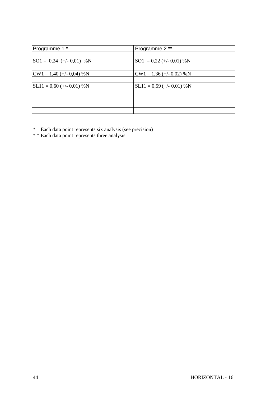| Programme 1 *                     | Programme 2 **              |
|-----------------------------------|-----------------------------|
|                                   |                             |
| $ SO1 = 0.24$ (+/- 0.01) %N       | $SO1 = 0.22 (+/- 0.01) %N$  |
|                                   |                             |
| $\text{CW1} = 1,40 (+/- 0,04)$ %N | $CW1 = 1,36 (+/- 0,02)$ %N  |
|                                   |                             |
| $SL11 = 0,60 (+/- 0,01)$ %N       | $SL11 = 0.59$ (+/- 0.01) %N |
|                                   |                             |
|                                   |                             |
|                                   |                             |
|                                   |                             |

\* Each data point represents six analysis (see precision)

\* \* Each data point represents three analysis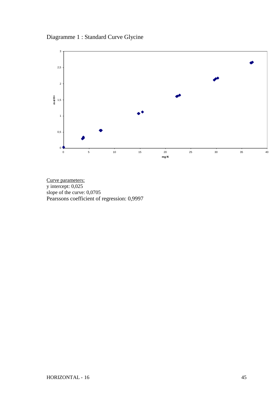Diagramme 1 : Standard Curve Glycine



Curve parameters: y intercept: 0,025 slope of the curve: 0,0705 Pearssons coefficient of regression: 0,9997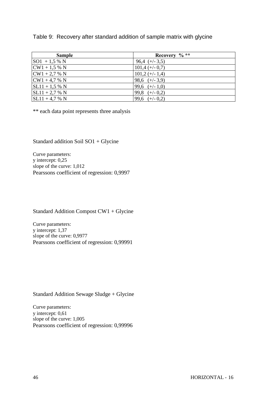### Table 9: Recovery after standard addition of sample matrix with glycine

| <b>Sample</b>    | Recovery $\%$ **  |
|------------------|-------------------|
| $SO1 + 1.5 %$ N  | $96,4 (+/- 3,5)$  |
| $CW1 + 1.5 % N$  | $101,4 (+/- 0,7)$ |
| $CW1 + 2.7 % N$  | $101,2 (+/- 1,4)$ |
| $CW1 + 4.7 % N$  | 98,6 $(+/- 3,9)$  |
| $SL11 + 1.5 % N$ | 99,6 $(+/- 1,0)$  |
| $SL11 + 2.7 % N$ | 99,8 $(+/- 0,2)$  |
| $SL11 + 4.7 % N$ | 99,6 $(+/- 0.2)$  |

\*\* each data point represents three analysis

Standard addition Soil SO1 + Glycine

Curve parameters: y intercept: 0,25 slope of the curve: 1,012 Pearssons coefficient of regression: 0,9997

Standard Addition Compost CW1 + Glycine

Curve parameters: y intercept: 1,37 slope of the curve: 0,9977 Pearssons coefficient of regression: 0,99991

Standard Addition Sewage Sludge + Glycine

Curve parameters: y intercept: 0,61 slope of the curve: 1,005 Pearssons coefficient of regression: 0,99996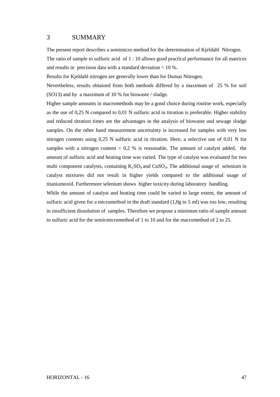## 3 SUMMARY

The present report describes a semimicro method for the determination of Kjeldahl Nitrogen.

The ratio of sample to sulfuric acid of 1 : 10 allows good practical performance for all matrices and results in precision data with a standard deviation  $< 10$ %.

Results for Kjeldahl nitrogen are generally lower than for Dumas Nitrogen.

Nevertheless, results obtained from both methods differed by a maximum of 25 % for soil (SO13) and by a maximum of 10 % for biowaste / sludge.

Higher sample amounts in macromethods may be a good choice during routine work, especially as the use of 0,25 N compared to 0,01 N sulfuric acid in titration is preferable. Higher stability and reduced titration times are the advantages in the analysis of biowaste and sewage sludge samples. On the other hand measurement uncertainty is increased for samples with very low nitrogen contents using 0,25 N sulfuric acid in titration. Here, a selective use of 0,01 N for samples with a nitrogen content  $< 0.2$  % is reasonable. The amount of catalyst added, the amount of sulfuric acid and heating time was varied. The type of catalyst was evaluated for two multi component catalysts, containing  $K_2SO_4$  and  $CuSO_4$ . The additional usage of selenium in catalyst mixtures did not result in higher yields compared to the additional usage of titaniumoxid. Furthermore selenium shows higher toxicity during laboratory handling.

While the amount of catalyst and heating time could be varied to large extent, the amount of sulfuric acid given for a micromethod in the draft standard (1,0g to 5 ml) was too low, resulting in insufficient dissolution of samples. Therefore we propose a minimum ratio of sample amount to sulfuric acid for the semicmicromethod of 1 to 10 and for the macromethod of 2 to 25.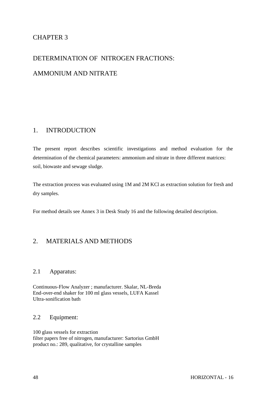## CHAPTER 3

# DETERMINATION OF NITROGEN FRACTIONS: AMMONIUM AND NITRATE

## 1. INTRODUCTION

The present report describes scientific investigations and method evaluation for the determination of the chemical parameters: ammonium and nitrate in three different matrices: soil, biowaste and sewage sludge.

The extraction process was evaluated using 1M and 2M KCl as extraction solution for fresh and dry samples.

For method details see Annex 3 in Desk Study 16 and the following detailed description.

## 2. MATERIALS AND METHODS

### 2.1 Apparatus:

Continuous-Flow Analyzer ; manufacturer. Skalar, NL-Breda End-over-end shaker for 100 ml glass vessels, LUFA Kassel Ultra-sonification bath

## 2.2 Equipment:

100 glass vessels for extraction filter papers free of nitrogen, manufacturer: Sartorius GmbH product no.: 289, qualitative, for crystalline samples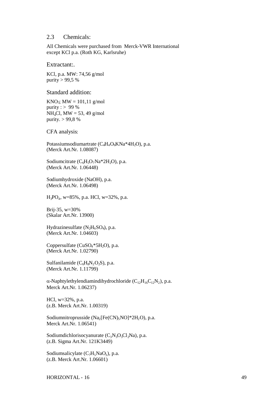### 2.3 Chemicals:

All Chemicals were purchased from Merck-VWR International except KCl p.a. (Roth KG, Karlsruhe)

Extractant:.

KCl, p.a. MW: 74,56 g/mol purity  $> 99,5 %$ 

Standard addition:

 $KNO_3$ ;  $MW = 101.11$  g/mol purity :  $> 99%$  $NH<sub>4</sub>Cl$ , MW = 53, 49 g/mol purity. > 99,8 %

CFA analysis:

Potassiumsodiumartrate (C<sub>4</sub>H<sub>4</sub>O<sub>6</sub>KNa<sup>\*</sup>4H<sub>2</sub>O), p.a. (Merck Art.Nr. 1.08087)

Sodiumcitrate  $(C_6H_5O_7Na*2H_2O)$ , p.a. (Merck Art.Nr. 1.06448)

Sodiumhydroxide (NaOH), p.a. (Merck Art.Nr. 1.06498)

H3PO<sup>4</sup> , w=85%, p.a. HCl, w=32%, p.a.

Brij-35, w=30% (Skalar Art.Nr. 13900)

Hydrazinesulfate  $(N_2H_6SO_4)$ , p.a. (Merck Art.Nr. 1.04603)

Coppersulfate (CuSO4\*5H2O), p.a. (Merck Art.Nr. 1.02790)

Sulfanilamide ( $C_6H_8N_2O_2S$ ), p.a. (Merck Art.Nr. 1.11799)

 $\alpha$ -Naphtylethylendiamindihydrochloride ( $C_{12}H_{16}C_{12}N_2$ ), p.a. Merck Art.Nr. 1.06237)

HCl, w=32%, p.a. (z.B. Merck Art.Nr. 1.00319)

Sodiumnitroprusside  $(Na_2[Fe(CN)_5NO]^*2H_2O)$ , p.a. Merck Art.Nr. 1.06541)

Sodiumdichlorisocyanurate  $(C_3N_3O_3Cl_2Na)$ , p.a. (z.B. Sigma Art.Nr. 121K3449)

Sodiumsalicylate  $(C_7H_5NaO_3)$ , p.a. (z.B. Merck Art.Nr. 1.06601)

HORIZONTAL - 16 49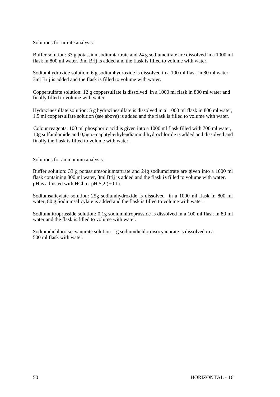Solutions for nitrate analysis:

Buffer solution: 33 g potassiumsodiumtartrate and 24 g sodiumcitrate are dissolved in a 1000 ml flask in 800 ml water, 3ml Brij is added and the flask is filled to volume with water.

Sodiumhydroxide solution: 6 g sodiumhydroxide is dissolved in a 100 ml flask in 80 ml water, 3ml Brij is added and the flask is filled to volume with water*.*

Coppersulfate solution: 12 g coppersulfate is dissolved in a 1000 ml flask in 800 ml water and finally filled to volume with water.

Hydrazinesulfate solution: 5 g hydrazinesulfate is dissolved in a 1000 ml flask in 800 ml water, 1,5 ml coppersulfate solution (see above) is added and the flask is filled to volume with water.

Colour reagents: 100 ml phosphoric acid is given into a 1000 ml flask filled with 700 ml water, 10g sulfanilamide and  $0.5g \alpha$ -naphtyl-ethylendiamindihydrochloride is added and dissolved and finally the flask is filled to volume with water.

Solutions for ammonium analysis:

Buffer solution: 33 g potassiumsodiumtartrate and 24g sodiumcitrate are given into a 1000 ml flask containing 800 ml water, 3ml Brij is added and the flask is filled to volume with water. pH is adjusted with HCl to pH  $5.2$  ( $\pm$ 0,1).

Sodiumsalicylate solution: 25g sodiumhydroxide is dissolved in a 1000 ml flask in 800 ml water, 80 g Sodiumsalicylate is added and the flask is filled to volume with water.

Sodiumnitroprusside solution: 0,1g sodiumnitroprusside is dissolved in a 100 ml flask in 80 ml water and the flask is filled to volume with water.

Sodiumdichloroisocyanurate solution: 1g sodiumdichloroisocyanurate is dissolved in a 500 ml flask with water.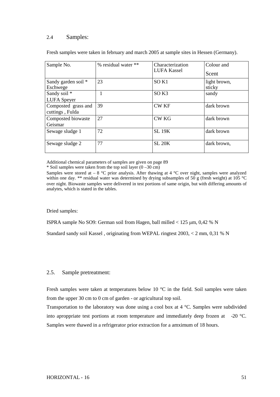### 2.4 Samples:

| Sample No.                             | % residual water ** | Characterization<br><b>LUFA Kassel</b> | Colour and<br>Scent    |
|----------------------------------------|---------------------|----------------------------------------|------------------------|
| Sandy garden soil *<br>Eschwege        | 23                  | SO <sub>K1</sub>                       | light brown,<br>sticky |
| Sandy soil *<br><b>LUFA</b> Speyer     |                     | SO <sub>K3</sub>                       | sandy                  |
| Composted grass and<br>cuttings, Fulda | 39                  | <b>CW KF</b>                           | dark brown             |
| Composted biowaste<br>Geismar          | 27                  | <b>CW KG</b>                           | dark brown             |
| Sewage sludge 1                        | 72                  | <b>SL 19K</b>                          | dark brown             |
| Sewage sludge 2                        | 77                  | <b>SL 20K</b>                          | dark brown,            |

Fresh samples were taken in february and march 2005 at sample sites in Hessen (Germany).

Additional chemical parameters of samples are given on page 89

\* Soil samples were taken from the top soil layer  $(0 -30 \text{ cm})$ 

Samples were stored at  $-8$  °C prior analysis. After thawing at 4 °C over night, samples were analyzed within one day. \*\* residual water was determined by drying subsamples of 50 g (fresh weight) at 105 °C over night. Biowaste samples were delivered in test portions of same origin, but with differing amounts of analytes, which is stated in the tables.

Dried samples:

ISPRA sample No SO9: German soil from Hagen, ball milled < 125 μm, 0,42 % N

Standard sandy soil Kassel , originating from WEPAL ringtest 2003, < 2 mm, 0,31 % N

### 2.5. Sample pretreatment:

Fresh samples were taken at temperatures below 10 °C in the field. Soil samples were taken from the upper 30 cm to 0 cm of garden - or agricultural top soil.

Transportation to the laboratory was done using a cool box at 4 °C. Samples were subdivided into aproppriate test portions at room temperature and immediately deep frozen at -20 °C. Samples were thawed in a refrigerator prior extraction for a amximum of 18 hours.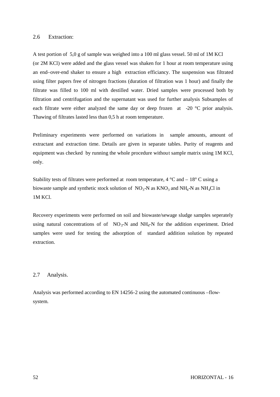### 2.6 Extraction:

A test portion of 5,0 g of sample was weighed into a 100 ml glass vessel. 50 ml of 1M KCl (or 2M KCl) were added and the glass vessel was shaken for 1 hour at room temperature using an end–over-end shaker to ensure a high extraction efficiancy. The suspension was filtrated using filter papers free of nitrogen fractions (duration of filtration was 1 hour) and finally the filtrate was filled to 100 ml with destilled water. Dried samples were processed both by filtration and centrifugation and the supernatant was used for further analysis Subsamples of each filtrate were either analyzed the same day or deep frozen at -20 °C prior analysis. Thawing of filtrates lasted less than 0,5 h at room temperature.

Preliminary experiments were performed on variations in sample amounts, amount of extractant and extraction time. Details are given in separate tables. Purity of reagents and equipment was checked by running the whole procedure without sample matrix using 1M KCl, only.

Stability tests of filtrates were performed at room temperature,  $4^{\circ}$ C and  $-18^{\circ}$ C using a biowaste sample and synthetic stock solution of  $NO_3$ -N as  $KNO_3$  and  $NH_4$ -N as NH<sub>4</sub>Cl in 1M KCl.

Recovery experiments were performed on soil and biowaste/sewage sludge samples seperately using natural concentrations of of  $NO_3$ -N and  $NH_4$ -N for the addition experiment. Dried samples were used for testing the adsorption of standard addition solution by repeated extraction.

### 2.7 Analysis.

Analysis was performed according to EN 14256-2 using the automated continuous –flowsystem.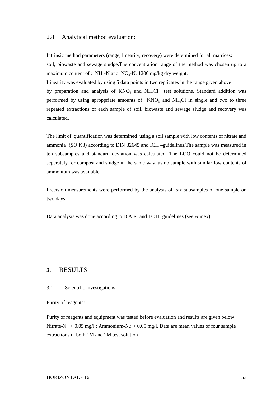### 2.8 Analytical method evaluation:

Intrinsic method parameters (range, linearity, recovery) were determined for all matrices: soil, biowaste and sewage sludge.The concentration range of the method was chosen up to a maximum content of :  $NH_4-N$  and  $NO_3-N$ : 1200 mg/kg dry weight.

Linearity was evaluated by using 5 data points in two replicates in the range given above

by preparation and analysis of  $KNO<sub>3</sub>$  and  $NH<sub>4</sub>Cl$  test solutions. Standard addition was performed by using aproppriate amounts of  $KNO<sub>3</sub>$  and  $NH<sub>4</sub>Cl$  in single and two to three repeated extractions of each sample of soil, biowaste and sewage sludge and recovery was calculated.

The limit of quantification was determined using a soil sample with low contents of nitrate and ammonia (SO K3) according to DIN 32645 and ICH –guidelines.The sample was measured in ten subsamples and standard deviation was calculated. The LOQ could not be determined seperately for compost and sludge in the same way, as no sample with similar low contents of ammonium was available.

Precision measurements were performed by the analysis of six subsamples of one sample on two days.

Data analysis was done according to D.A.R. and I.C.H. guidelines (see Annex).

### **3**. RESULTS

#### 3.1 Scientific investigations

Purity of reagents:

Purity of reagents and equipment was tested before evaluation and results are given below: Nitrate-N:  $< 0.05$  mg/l; Ammonium-N.:  $< 0.05$  mg/l. Data are mean values of four sample extractions in both 1M and 2M test solution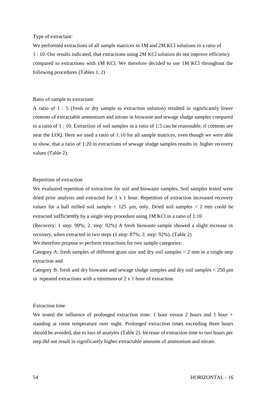#### Type of extractant:

We performed extractions of all sample matrices in 1M and 2M KCl solutions in a ratio of 1 : 10. Our results indicated, that extractions using 2M KCl solution do not improve efficiency compared to extractions with 1M KCl. We therefore decided to use 1M KCl throughout the following procedures (Tables 1, 2)

#### Ratio of sample to extractant

A ratio of 1 : 5 (fresh or dry sample to extraction solution) resulted in significantly lower contents of extractable ammonium and nitrate in biowaste and sewage sludge samples compared to a ratio of 1 : 10. Extraction of soil samples in a ratio of 1:5 can be reasonable, if contents are near the LOQ. Here we used a ratio of 1:10 for all sample matrices, even though we were able to show, that a ratio of 1:20 in extractions of sewage sludge samples results in higher recovery values (Table 2).

#### Repetition of extraction

We evaluated repetition of extraction for soil and biowaste samples. Soil samples tested were dried prior analysis and extracted for 3 x 1 hour. Repetition of extraction increased recovery values for a ball milled soil sample  $< 125 \mu m$ , only. Dried soil samples  $< 2 \mu m$  could be extracted sufficiently by a single step procedure using 1M KCl in a ratio of 1:10

(Recovery: 1 step: 90%; 2. step: 92%) A fresh biowaste sample showed a slight increase in recovery, when extracted in two steps (1.step: 87%; 2. step: 92%). (Table 2)

We therefore propose to perform extractions for two sample categories:

Category A: fresh samples of different grain size and dry soil samples < 2 mm in a single step extraction and

Category B: fresh and dry biowaste and sewage sludge samples and dry soil samples  $\lt$  250  $\mu$ m in repeated extractions with a minimum of 2 x 1 hour of extraction.

#### Extraction time

We tested the influence of prolonged extraction time: 1 hour versus 2 hours and 1 hour + standing at room temperature over night. Prolonged extraction times exceeding three hours should be avoided, due to loss of analytes (Table 2). Increase of extraction time to two hours per step did not result in significantly higher extractable amounts of ammonium and nitrate.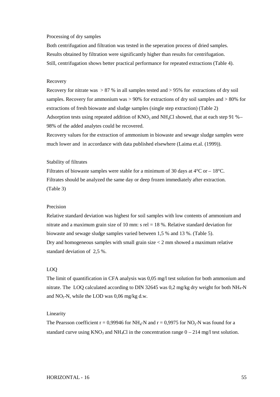#### Processing of dry samples

Both centrifugation and filtration was tested in the seperation process of dried samples. Results obtained by filtration were significantly higher than results for centrifugation. Still, centrifugation shows better practical performance for repeated extractions (Table 4).

### Recovery

Recovery for nitrate was  $> 87$  % in all samples tested and  $> 95$ % for extractions of dry soil samples. Recovery for ammonium was > 90% for extractions of dry soil samples and > 80% for extractions of fresh biowaste and sludge samples (single step extraction) (Table 2) Adsorption tests using repeated addition of  $KNO_3$  and  $NH<sub>4</sub>Cl$  showed, that at each step 91 %– 98% of the added analytes could be recovered.

Recovery values for the extraction of ammonium in biowaste and sewage sludge samples were much lower and in accordance with data published elsewhere (Laima et.al. (1999)).

#### Stability of filtrates

Filtrates of biowaste samples were stable for a minimum of 30 days at  $4^{\circ}$ C or  $-18^{\circ}$ C. Filtrates should be analyzed the same day or deep frozen immediately after extraction. (Table 3)

### Precision

Relative standard deviation was highest for soil samples with low contents of ammonium and nitrate and a maximum grain size of 10 mm:  $s$  rel = 18 %. Relative standard deviation for biowaste and sewage sludge samples varied between 1,5 % and 13 %. (Table 5). Dry and homogeneous samples with small grain size < 2 mm showed a maximum relative standard deviation of 2,5 %.

#### LOQ

The limit of quantification in CFA analysis was 0,05 mg/l test solution for both ammonium and nitrate. The LOQ calculated according to DIN 32645 was 0,2 mg/kg dry weight for both  $NH_4-N$ and  $NO<sub>3</sub>-N$ , while the LOD was 0,06 mg/kg d.w.

#### Linearity

The Pearsson coefficient  $r = 0.99946$  for NH<sub>4</sub>-N and  $r = 0.9975$  for NO<sub>3</sub>-N was found for a standard curve using  $KNO_3$  and  $NH_4Cl$  in the concentration range  $0 - 214$  mg/l test solution.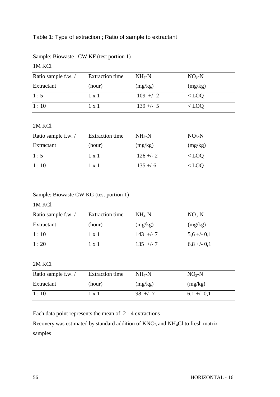## Table 1: Type of extraction ; Ratio of sample to extractant

|  |  | Sample: Biowaste CW KF (test portion 1) |
|--|--|-----------------------------------------|
|--|--|-----------------------------------------|

## 1M KCl

| Ratio sample f.w. / | <b>Extraction time</b> | $NH_4-N$    | $NO3-N$ |
|---------------------|------------------------|-------------|---------|
| Extractant          | (hour)                 | (mg/kg)     | (mg/kg) |
| 1:5                 | 1 x 1                  | $109$ +/- 2 | $<$ LOQ |
| $\vert 1:10$        | 1 x 1                  | $139 + - 5$ | $<$ LOQ |

## 2M KCl

| Ratio sample f.w./ | <b>Extraction time</b> | $NH_4-N$     | $NO3-N$ |
|--------------------|------------------------|--------------|---------|
| Extractant         | (hour)                 | (mg/kg)      | (mg/kg) |
| 1:5                | 1 x 1                  | $126 + -2$   | $<$ LOQ |
| 1:10               | 1 x 1                  | $135 + (-6)$ | $<$ LOQ |

Sample: Biowaste CW KG (test portion 1)

## 1M KCl

| Ratio sample f.w. / | <b>Extraction</b> time | $NH_4-N$    | $NO3-N$        |
|---------------------|------------------------|-------------|----------------|
| Extractant          | (hour)                 | (mg/kg)     | (mg/kg)        |
| 1:10                | 1 x 1                  | $143$ +/- 7 | $5,6 + (-0,1)$ |
| 1:20                | 1 x 1                  | $135 + -7$  | $6,8 + (-0,1)$ |

## 2M KCl

| Ratio sample f.w./ | <b>Extraction time</b> | $NH4-N$   | $NO3-N$      |
|--------------------|------------------------|-----------|--------------|
| Extractant         | (hour)                 | (mg/kg)   | $\log/kg$    |
| 1:10               | 1 x 1                  | $98 + -7$ | $6,1 + -0,1$ |

Each data point represents the mean of 2 - 4 extractions

Recovery was estimated by standard addition of  $KNO_3$  and  $NH_4Cl$  to fresh matrix samples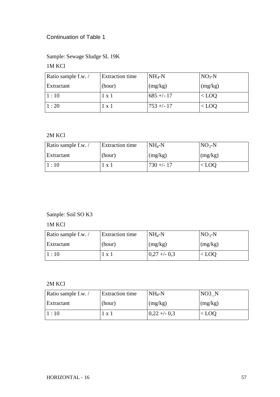## Continuation of Table 1

## Sample: Sewage Sludge SL 19K

## 1M KCl

| Ratio sample f.w./ | <b>Extraction time</b> | $NH_4-N$    | $NO3-N$ |
|--------------------|------------------------|-------------|---------|
| Extractant         | (hour)                 | (mg/kg)     | (mg/kg) |
| 1:10               | 1 x 1                  | $685 + -17$ | $<$ LOQ |
| 1:20               | $1 \times 1$           | $753 + -17$ | $<$ LOQ |

## 2M KCl

| Ratio sample f.w./ | <b>Extraction time</b> | $NH4-N$      | $NO3-N$ |
|--------------------|------------------------|--------------|---------|
| Extractant         | (hour)                 | (mg/kg)      | (mg/kg) |
| $\vert 1:10$       | 1 x 1                  | $730 + - 17$ | $<$ LOQ |

## Sample: Soil SO K3

## 1M KCl

| Ratio sample f.w./ | <b>Extraction time</b> | $NH_4-N$      | $NO3-N$ |
|--------------------|------------------------|---------------|---------|
| Extractant         | (hour)                 | (mg/kg)       | (mg/kg) |
| 1:10               | 1 x 1                  | $0,27 + -0.3$ | $<$ LOO |

## 2M KCl

| Ratio sample f.w./ | <b>Extraction time</b> | $NH_4-N$      | NO3 N           |
|--------------------|------------------------|---------------|-----------------|
| Extractant         | (hour)                 | (mg/kg)       | $\log(kg)$      |
| $\vert 1:10$       | $1 x_1$                | $0,22 + -0.3$ | ${<}\, \rm LOO$ |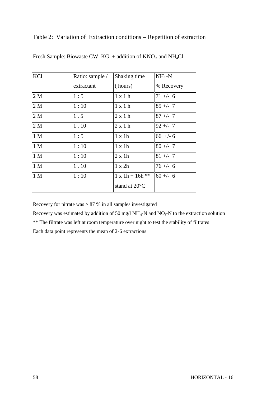## Table 2: Variation of Extraction conditions – Repetition of extraction

| <b>KCl</b>     | Ratio: sample / | Shaking time            | $NH_4-N$   |
|----------------|-----------------|-------------------------|------------|
|                | extractant      | (hours)                 | % Recovery |
| 2 M            | 1:5             | $1 \times 1 h$          | $71 +/- 6$ |
| 2 <sub>M</sub> | 1:10            | 1 x 1 h                 | $85 +/- 7$ |
| 2 M            | 1.5             | $2 \times 1$ h          | $87 +/- 7$ |
| 2M             | 1.10            | $2 \times 1$ h          | $92 + - 7$ |
| 1 <sub>M</sub> | 1:5             | $1 \times 1h$           | $66$ +/- 6 |
| 1 <sub>M</sub> | 1:10            | $1 \times 1h$           | $80 +/- 7$ |
| 1 <sub>M</sub> | 1:10            | $2 \times 1h$           | $81 +/- 7$ |
| 1 M            | 1.10            | $1 \times 2h$           | $76 + - 6$ |
| 1 M            | 1:10            | $1 x 1h + 16h **$       | $60 +/- 6$ |
|                |                 | stand at $20^{\circ}$ C |            |

Fresh Sample: Biowaste CW  $KG + addition of KNO<sub>3</sub> and NH<sub>4</sub>Cl$ 

Recovery for nitrate was  $> 87 %$  in all samples investigated

Recovery was estimated by addition of 50 mg/l  $NH_4$ -N and  $NO_3$ -N to the extraction solution

\*\* The filtrate was left at room temperature over night to test the stability of filtrates

Each data point represents the mean of 2-6 extractions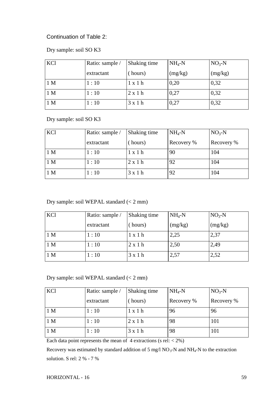## Continuation of Table 2:

## Dry sample: soil SO K3

| KCl            | Ratio: sample / | Shaking time   | $NH_4-N$ | $NO3-N$ |
|----------------|-----------------|----------------|----------|---------|
|                | extractant      | hours)         | (mg/kg)  | (mg/kg) |
| 1 <sub>M</sub> | 1:10            | $1 \times 1$ h | 0,20     | 0,32    |
| 1 <sub>M</sub> | 1:10            | 2x1h           | 0,27     | 0,32    |
| 1 <sub>M</sub> | 1:10            | 3x1h           | 0,27     | 0,32    |

Dry sample: soil SO K3

| KCl            | Ratio: sample / | Shaking time          | $NH_4-N$   | $NO3-N$    |
|----------------|-----------------|-----------------------|------------|------------|
|                | extractant      | hours)                | Recovery % | Recovery % |
| 1 <sub>M</sub> | 1:10            | l <b>x</b> 1 <b>h</b> | 90         | 104        |
| 1 <sub>M</sub> | 1:10            | $2 \times 1$ h        | 92         | 104        |
| 1 <sub>M</sub> | 1:10            | 3x1h                  | 92         | 104        |

Dry sample: soil WEPAL standard (< 2 mm)

| KCl            | Ratio: sample / | Shaking time | $NH_4-N$ | $NO3-N$ |
|----------------|-----------------|--------------|----------|---------|
|                | extractant      | (hours)      | (mg/kg)  | (mg/kg) |
| 1 <sub>M</sub> | 1:10            | 1 x 1 h      | 2,25     | 2,37    |
| 1 <sub>M</sub> | 1:10            | 2x1h         | 2,50     | 2,49    |
| 1 <sub>M</sub> | 1:10            | 3x1h         | 2,57     | 2,52    |

Dry sample: soil WEPAL standard (< 2 mm)

| KCl            | Ratio: sample / | Shaking time   | $NH_4-N$   | $NO3-N$    |
|----------------|-----------------|----------------|------------|------------|
|                | extractant      | (hours)        | Recovery % | Recovery % |
| 1 <sub>M</sub> | 1:10            | $1 \times 1$ h | 96         | 96         |
| 1 <sub>M</sub> | 1:10            | $2 \times 1$ h | 98         | 101        |
| 1 <sub>M</sub> | 1:10            | 3x1h           | 98         | 101        |

Each data point represents the mean of  $4$  extractions (s rel:  $\langle 2\% \rangle$ )

Recovery was estimated by standard addition of 5 mg/l  $NO_3$ -N and  $NH_4$ -N to the extraction solution. S rel: 2 % - 7 %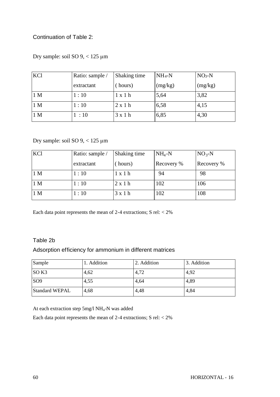## Continuation of Table 2:

Dry sample: soil SO 9, < 125 μm

| KCl            | Ratio: sample / | Shaking time   | $NH_4-N$  | $NO3-N$ |
|----------------|-----------------|----------------|-----------|---------|
|                | extractant      | (hours)        | $\log/kg$ | (mg/kg) |
| 1 <sub>M</sub> | 1:10            | $1 \times 1$ h | 5,64      | 3,82    |
| 1 <sub>M</sub> | 1:10            | 2x1h           | 6,58      | 4,15    |
| 1 <sub>M</sub> | 1:10            | 3x1h           | 6,85      | 4,30    |

## Dry sample: soil SO 9, < 125 μm

| KCl            | Ratio: sample / | Shaking time   | $NH_4-N$   | $NO3-N$    |
|----------------|-----------------|----------------|------------|------------|
|                | extractant      | (hours)        | Recovery % | Recovery % |
| 1 <sub>M</sub> | 1:10            | 1 x 1 h        | 94         | 98         |
| 1 <sub>M</sub> | 1:10            | $2 \times 1$ h | 102        | 106        |
| 1 <sub>M</sub> | 1:10            | 3x1h           | 102        | 108        |

Each data point represents the mean of 2-4 extractions; S rel: < 2%

## Table 2b

## Adsorption efficiency for ammonium in different matrices

| Sample                | 1. Addition | 2. Addition | 3. Addition |
|-----------------------|-------------|-------------|-------------|
| SO <sub>K3</sub>      | 4,62        | 4,72        | 4,92        |
| SO <sub>9</sub>       | 4,55        | 4,64        | 4,89        |
| <b>Standard WEPAL</b> | 4,68        | 4,48        | 4,84        |

At each extraction step  $5mg/1NH_4-N$  was added

Each data point represents the mean of 2-4 extractions;  $S$  rel:  $<$  2%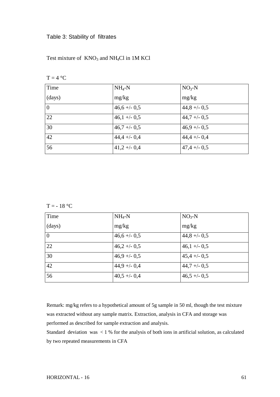### Table 3: Stability of filtrates

Test mixture of  $KNO_3$  and NH<sub>4</sub>Cl in 1M KCl

|  | ۰. |  |
|--|----|--|
|  |    |  |

| Time           | $NH_4-N$      | $NO3-N$         |
|----------------|---------------|-----------------|
| (days)         | mg/kg         | mg/kg           |
| $\overline{0}$ | $46,6 + -0,5$ | $44,8 + -0.5$   |
| 22             | $46,1 + -0.5$ | $44,7 + -0.5$   |
| 30             | $46,7 + -0.5$ | $46.9 + -0.5$   |
| 42             | $44,4 + -0,4$ | $44,4 + -0,4$   |
| 56             | $41,2 + -0,4$ | $47,4 + (-0.5)$ |

 $T = -18$  °C

| Time     | $NH_4-N$      | $NO3-N$         |
|----------|---------------|-----------------|
| (days)   | mg/kg         | mg/kg           |
| $\theta$ | $46,6 + -0.5$ | $44,8 + -0.5$   |
| 22       | $46,2 + -0.5$ | $46,1 + -0.5$   |
| 30       | $46.9 + -0.5$ | $45,4 + -0.5$   |
| 42       | $44,9 + -0,4$ | $44,7 + -0.5$   |
| 56       | $40,5 + -0,4$ | $46,5 + (-0.5)$ |

Remark: mg/kg refers to a hypothetical amount of 5g sample in 50 ml, though the test mixture was extracted without any sample matrix. Extraction, analysis in CFA and storage was performed as described for sample extraction and analysis.

Standard deviation was < 1 % for the analysis of both ions in artificial solution, as calculated by two repeated measurements in CFA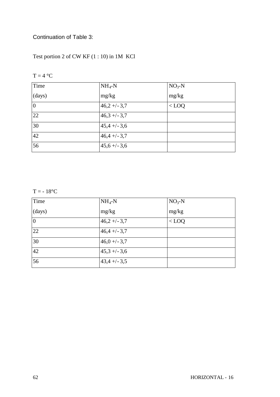## Continuation of Table 3:

Test portion 2 of CW KF (1 : 10) in 1M KCl

|--|--|--|

| Time           | $NH_4-N$        | $NO3-N$ |
|----------------|-----------------|---------|
| (days)         | mg/kg           | mg/kg   |
| $\overline{0}$ | $46,2 + (-3,7)$ | $<$ LOQ |
| 22             | $46,3 + (-3,7)$ |         |
| 30             | $45,4 + (-3,6)$ |         |
| 42             | $46,4 + -3,7$   |         |
| 56             | $45,6 + (-3,6)$ |         |

 $T = -18$ °C

| Time           | $NH_4-N$        | $NO3-N$ |
|----------------|-----------------|---------|
| (days)         | mg/kg           | mg/kg   |
| $\overline{0}$ | $46,2 + (-3,7)$ | $<$ LOQ |
| 22             | $46,4 + (-3,7)$ |         |
| 30             | $46,0 + (-3,7)$ |         |
| 42             | $45,3 + (-3,6)$ |         |
| 56             | $43,4 + (-3,5)$ |         |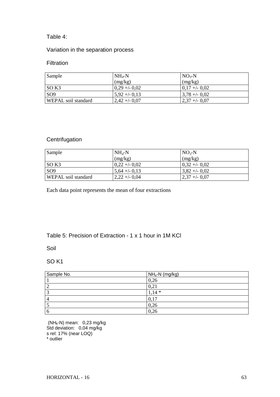## Table 4:

## Variation in the separation process

## Filtration

| Sample              | $NH_4-N$       | $NO3-N$                  |
|---------------------|----------------|--------------------------|
|                     | (mg/kg)        | (mg/kg)                  |
| $\overline{SO K3}$  | $0,29 + -0,02$ | $ 0,17 + -0,02 $         |
| SO <sub>9</sub>     | $5.92 + -0.13$ | $\frac{3,78 + -0.02}{ }$ |
| WEPAL soil standard | $2,42 + -0,07$ | $ 2,37 + -0,07 $         |

## **Centrifugation**

| Sample              | $NH_{4}-N$     | $NO3-N$         |
|---------------------|----------------|-----------------|
|                     | (mg/kg)        | (mg/kg)         |
| SO K3               | $0.22 + -0.02$ | $0,32 + 0,02$   |
| SO <sub>9</sub>     | $5,64 + -0,13$ | $3,82 + -0.02$  |
| WEPAL soil standard | $2,22 + -0.04$ | $ 2,37 + -0,07$ |

Each data point represents the mean of four extractions

## Table 5: Precision of Extraction - 1 x 1 hour in 1M KCl

Soil

## SO K1

| Sample No.     | $NH_4-N$ (mg/kg) |
|----------------|------------------|
|                | 0,26             |
| $\overline{2}$ | 0,21             |
| 3              | $1,14*$          |
| $\overline{4}$ | 0,17             |
|                | 0,26             |
| 6              | 0,26             |

(NH4-N) mean: 0,23 mg/kg Std deviation: 0,04 mg/kg s rel: 17% (near LOQ) \* outlier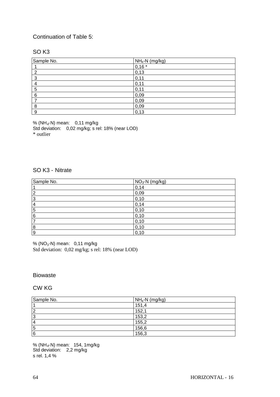## Continuation of Table 5:

## SO K3

| Sample No. | $NH_4-N$ (mg/kg) |  |
|------------|------------------|--|
|            | $0,16*$          |  |
| ົ          | 0,13             |  |
| 3          | 0,11             |  |
|            | 0,11             |  |
| 5          | 0,11             |  |
| 6          | 0,09             |  |
|            | 0,09             |  |
| 8          | 0,09             |  |
| 9          | 0,13             |  |

% (NH<sub>4</sub>-N) mean: 0,11 mg/kg

Std deviation: 0,02 mg/kg; s rel: 18% (near LOD) \* outlier

### SO K3 - Nitrate

| Sample No.       | NO <sub>3</sub> -N (mg/kg) |
|------------------|----------------------------|
|                  | 0,14                       |
| $\overline{2}$   | 0,09                       |
| $\overline{3}$   | 0,10                       |
| $\overline{4}$   | 0,14                       |
| $\overline{5}$   | 0, 10                      |
| 6                | 0,10                       |
| 7                | 0, 10                      |
| $\boldsymbol{8}$ | 0,10                       |
| 9                | 0,10                       |

% (NO<sub>3</sub>-N) mean: 0,11 mg/kg Std deviation: 0,02 mg/kg; s rel: 18% (near LOD)

### Biowaste

## CW KG

| Sample No.     | $NH_4-N$ (mg/kg) |
|----------------|------------------|
|                | 151,4            |
| $\overline{2}$ | 152,1            |
| $\overline{3}$ | 153,2            |
| 4              | 155,2            |
| 5              | 156,6            |
| 6              | 156,3            |

% (NH4-N) mean: 154, 1mg/kg Std deviation: 2,2 mg/kg s rel. 1,4 %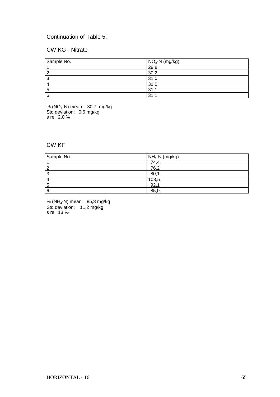## Continuation of Table 5:

## CW KG - Nitrate

| Sample No. | $NO3$ -N (mg/kg) |
|------------|------------------|
|            | 29,8             |
|            | 30,2             |
| ×.         | 31,0             |
|            | 31,0             |
| Ю          | 31               |
| 6          | 31               |

% (NO<sub>3</sub>-N) mean: 30,7 mg/kg Std deviation: 0,6 mg/kg s rel: 2,0 %

## CW KF

| Sample No. | $NH_4-N$ (mg/kg) |
|------------|------------------|
|            | 74,4             |
| 2          | 76,2             |
| 3          | 80,1             |
| 4          | 103,5            |
| 5          | 92,              |
| 6          | 85,0             |

% (NH<sup>4</sup> -N) mean: 85,3 mg/kg Std deviation: 11,2 mg/kg s rel: 13 %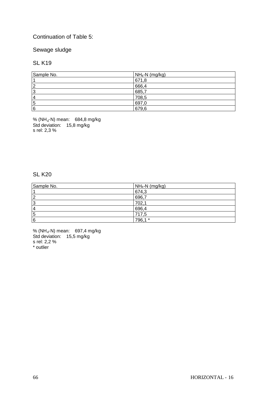## Continuation of Table 5:

## Sewage sludge

### SL K19

| Sample No.     | $NH_4-N$ (mg/kg) |
|----------------|------------------|
|                | 671,8            |
| $\overline{2}$ | 666,4            |
| 3              | 685,7            |
| 4              | 708,5            |
| 5              | 697,0            |
| 6              | 679,6            |

% (NH<sub>4</sub>-N) mean: 684,8 mg/kg Std deviation: 15,8 mg/kg s rel: 2,3 %

## SL K20

| Sample No. | $NH_4-N$ (mg/kg) |
|------------|------------------|
|            | 674,3            |
| 2          | 696,7            |
| 3          | 702,1            |
| 4          | 696,4            |
| 5          | 717,5            |
| 6          | 796,1 *          |

% (NH<sub>4</sub>-N) mean: 697,4 mg/kg Std deviation: 15,5 mg/kg s rel: 2,2 % \* outlier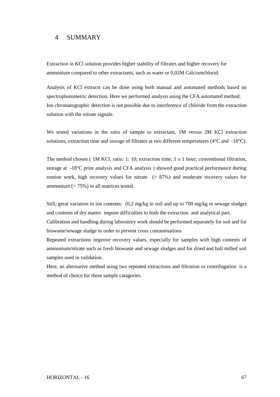## 4 SUMMARY

Extraction in KCl solution provides higher stability of filtrates and higher recovery for ammonium compared to other extractants, such as water or 0,02M Calciumchlorid.

Analysis of KCl extracts can be done using both manual and automated methods based on spectrophotometric detection. Here we performed analysis using the CFA automated method. Ion chromatographic detection is not possible due to interference of chloride from the extraction solution with the nitrate signale.

We tested variations in the ratio of sample to extractant, 1M versus 2M KCl extraction solutions, extraction time and storage of filtrates at two different temperatures (4°C and -18°C).

The method chosen ( 1M KCl, ratio: 1: 10; extraction time: 1 x 1 hour; conventional filtration, storage at -18°C prior analysis and CFA analysis ) showed good practical performance during routine work, high recovery values for nitrate  $(> 87\%)$  and moderate recovery values for ammonium  $($  > 75%) in all matrices tested.

Still, great variation in ion contents: (0,2 mg/kg in soil and up to 700 mg/kg in sewage sludge) and contents of dry matter impose difficulties to both the extraction and analytical part.

Calibration and handling during laboratory work should be performed separately for soil and for biowaste/sewage sludge in order to prevent cross contaminations

Repeated extractions improve recovery values, especially for samples with high contents of ammonium/nitrate such as fresh biowaste and sewage sludges and for dried and ball milled soil samples used in validation.

Here, an alternative method using two repeated extractions and filtration or centrifugation is a method of choice for these sample catagories.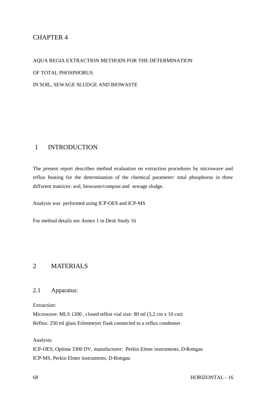## CHAPTER 4

AQUA REGIA EXTRACTION METHODS FOR THE DETERMINATION OF TOTAL PHOSPHORUS IN SOIL, SEWAGE SLUDGE AND BIOWASTE

## 1 INTRODUCTION

The present report describes method evaluation on extraction procedures by microwave and reflux heating for the determination of the chemical parameter: total phosphorus in three different matrices: soil, biowaste/compost and sewage sludge.

Analysis was performed using ICP-OES and ICP-MS

For method details see Annex 1 in Desk Study 16

## 2 MATERIALS

### 2.1 Apparatus:

Extraction:

Microwave: MLS 1200 , closed teflon vial size: 80 ml (3,2 cm x 10 cm) Reflux: 250 ml glass Erlenmeyer flask connected to a reflux condenser

Analysis:

ICP-OES, Optima 3300 DV, manufacturer: Perkin Elmer instruments, D-Rottgau ICP-MS, Perkin Elmer instruments, D-Rottgau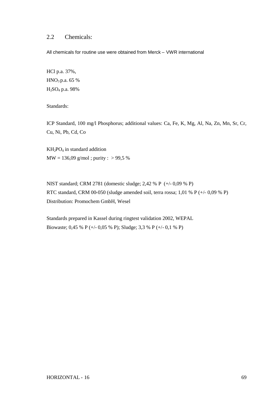## 2.2 Chemicals:

All chemicals for routine use were obtained from Merck – VWR international

HCl p.a. 37%, HNO<sup>3</sup> p.a. 65 % H2SO<sup>4</sup> p.a. 98%

Standards:

ICP Standard, 100 mg/l Phosphorus; additional values: Ca, Fe, K, Mg, Al, Na, Zn, Mn, Sr, Cr, Cu, Ni, Pb, Cd, Co

 $KH_2PO_4$  in standard addition  $MW = 136,09$  g/mol; purity : > 99,5 %

NIST standard; CRM 2781 (domestic sludge; 2,42 % P (+/- 0,09 % P) RTC standard, CRM 00-050 (sludge amended soil, terra rossa; 1,01 % P (+/- 0,09 % P) Distribution: Promochem GmbH, Wesel

Standards prepared in Kassel during ringtest validation 2002, WEPAL Biowaste; 0,45 % P (+/- 0,05 % P); Sludge; 3,3 % P (+/- 0,1 % P)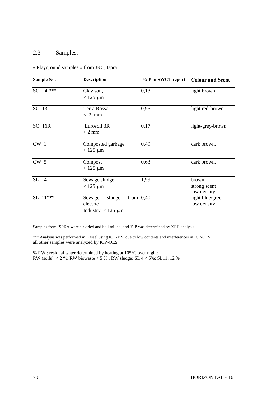## 2.3 Samples:

## « Playground samples » from JRC, Ispra

| Sample No.                | <b>Description</b>                                        | % P in SWCT report | <b>Colour and Scent</b>               |
|---------------------------|-----------------------------------------------------------|--------------------|---------------------------------------|
| $4***$<br>SO <sub>2</sub> | Clay soil,<br>$<$ 125 $\mu$ m                             | 0,13               | light brown                           |
| SO 13                     | Terra Rossa<br>$< 2$ mm                                   | 0,95               | light red-brown                       |
| SO 16R                    | Eurosoil 3R<br>$< 2$ mm                                   | 0,17               | light-grey-brown                      |
| $CW_1$                    | Composted garbage,<br>$<$ 125 $\mu$ m                     | 0,49               | dark brown,                           |
| CW <sub>5</sub>           | Compost<br>$<$ 125 $\mu$ m                                | 0,63               | dark brown,                           |
| SL<br>$\overline{4}$      | Sewage sludge,<br>$<$ 125 $\mu$ m                         | 1,99               | brown,<br>strong scent<br>low density |
| SL 11***                  | sludge<br>Sewage<br>electric<br>Industry, $<$ 125 $\mu$ m | from $ 0,40$       | light blue/green<br>low density       |

Samples from ISPRA were air dried and ball milled, and % P was determined by XRF analysis

\*\*\* Analysis was performed in Kassel using ICP-MS, due to low contents and interferences in ICP-OES all other samples were analyzed by ICP-OES

% RW.: residual water determined by heating at 105°C over night: RW (soils) < 2 %; RW biowaste < 5 % ; RW sludge: SL 4 < 5%; SL11: 12 %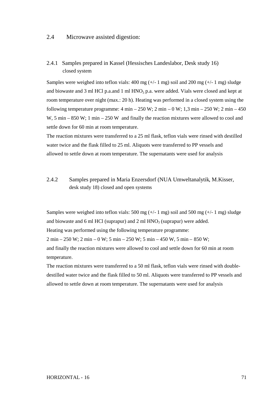### 2.4 Microwave assisted digestion:

### 2.4.1 Samples prepared in Kassel (Hessisches Landeslabor, Desk study 16) closed system

Samples were weighed into teflon vials:  $400 \text{ mg } (+/- 1 \text{ mg})$  soil and  $200 \text{ mg } (+/- 1 \text{ mg})$  sludge and biowaste and 3 ml HCl p.a.and 1 ml  $HNO<sub>3</sub>$  p.a. were added. Vials were closed and kept at room temperature over night (max.: 20 h). Heating was performed in a closed system using the following temperature programme:  $4 \text{ min} - 250 \text{ W}$ ;  $2 \text{ min} - 0 \text{ W}$ ;  $1,3 \text{ min} - 250 \text{ W}$ ;  $2 \text{ min} - 450$ W, 5 min – 850 W; 1 min – 250 W and finally the reaction mixtures were allowed to cool and settle down for 60 min at room temperature.

The reaction mixtures were transferred to a 25 ml flask, teflon vials were rinsed with destilled water twice and the flask filled to 25 ml. Aliquots were transferred to PP vessels and allowed to settle down at room temperature. The supernatants were used for analysis

## 2.4.2 Samples prepared in Maria Enzersdorf (NUA Umweltanalytik, M.Kisser, desk study 18) closed and open systems

Samples were weighed into teflon vials: 500 mg  $(+/- 1$  mg) soil and 500 mg  $(+/- 1$  mg) sludge and biowaste and 6 ml HCl (suprapur) and 2 ml  $HNO<sub>3</sub>$  (suprapur) were added.

Heating was performed using the following temperature programme:

2 min – 250 W; 2 min – 0 W; 5 min – 250 W; 5 min – 450 W, 5 min – 850 W;

and finally the reaction mixtures were allowed to cool and settle down for 60 min at room temperature.

The reaction mixtures were transferred to a 50 ml flask, teflon vials were rinsed with doubledestilled water twice and the flask filled to 50 ml. Aliquots were transferred to PP vessels and allowed to settle down at room temperature. The supernatants were used for analysis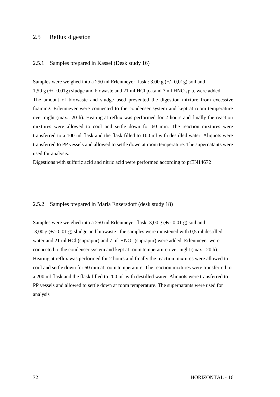### 2.5 Reflux digestion

### 2.5.1 Samples prepared in Kassel (Desk study 16)

Samples were weighed into a 250 ml Erlenmeyer flask :  $3,00 \text{ g } (+/-0,01 \text{ g})$  soil and 1,50 g  $(+/- 0.01g)$  sludge and biowaste and 21 ml HCl p.a.and 7 ml HNO<sub>3</sub> p.a. were added. The amount of biowaste and sludge used prevented the digestion mixture from excessive foaming. Erlenmeyer were connected to the condenser system and kept at room temperature over night (max.: 20 h). Heating at reflux was performed for 2 hours and finally the reaction mixtures were allowed to cool and settle down for 60 min. The reaction mixtures were transferred to a 100 ml flask and the flask filled to 100 ml with destilled water. Aliquots were transferred to PP vessels and allowed to settle down at room temperature. The supernatants were used for analysis.

Digestions with sulfuric acid and nitric acid were performed according to prEN14672

### 2.5.2 Samples prepared in Maria Enzersdorf (desk study 18)

Samples were weighed into a 250 ml Erlenmeyer flask:  $3,00 \text{ g } (+/-0,01 \text{ g})$  soil and  $3,00 \text{ g } (+/-0,01 \text{ g})$  sludge and biowaste, the samples were moistened with 0,5 ml destilled water and 21 ml HCl (suprapur) and 7 ml  $HNO<sub>3</sub>$  (suprapur) were added. Erlenmeyer were connected to the condenser system and kept at room temperature over night (max.: 20 h). Heating at reflux was performed for 2 hours and finally the reaction mixtures were allowed to cool and settle down for 60 min at room temperature. The reaction mixtures were transferred to a 200 ml flask and the flask filled to 200 ml with destilled water. Aliquots were transferred to PP vessels and allowed to settle down at room temperature. The supernatants were used for analysis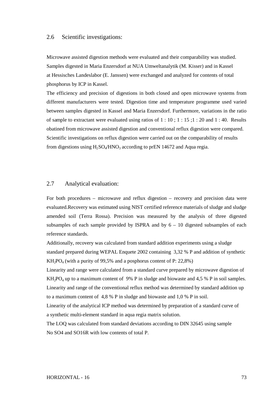#### 2.6 Scientific investigations:

Microwave assisted digestion methods were evaluated and their comparability was studied. Samples digested in Maria Enzersdorf at NUA Umweltanalytik (M. Kisser) and in Kassel at Hessisches Landeslabor (E. Janssen) were exchanged and analyzed for contents of total phosphorus by ICP in Kassel.

The efficiency and precision of digestions in both closed and open microwave systems from different manufacturers were tested. Digestion time and temperature programme used varied between samples digested in Kassel and Maria Enzersdorf. Furthermore, variations in the ratio of sample to extractant were evaluated using ratios of 1 : 10 ; 1 : 15 ;1 : 20 and 1 : 40. Results obatined from microwave assisted digestion and conventional reflux digestion were compared. Scientific investigations on reflux digestion were carried out on the comparability of results from digestions using  $H_2SO_4/HNO_3$  according to prEN 14672 and Aqua regia.

### 2.7 Analytical evaluation:

For both procedures – microwave and reflux digestion – recovery and precision data were evaluated.Recovery was estimated using NIST certified reference materials of sludge and sludge amended soil (Terra Rossa). Precision was measured by the analysis of three digested subsamples of each sample provided by ISPRA and by  $6 - 10$  digested subsamples of each reference standards.

Additionally, recovery was calculated from standard addition experiments using a sludge standard prepared during WEPAL Enquete 2002 containing 3,32 % P and addition of synthetic  $KH<sub>2</sub>PO<sub>4</sub>$  (with a purity of 99,5% and a posphorus content of P: 22,8%)

Linearity and range were calculated from a standard curve prepared by microwave digestion of  $KH_2PO_4$  up to a maximum content of 9% P in sludge and biowaste and 4,5 % P in soil samples. Linearity and range of the conventional reflux method was determined by standard addition up to a maximum content of 4,8 % P in sludge and biowaste and 1,0 % P in soil.

Linearity of the analytical ICP method was determined by preparation of a standard curve of a synthetic multi-element standard in aqua regia matrix solution.

The LOQ was calculated from standard deviations according to DIN 32645 using sample No SO4 and SO16R with low contents of total P.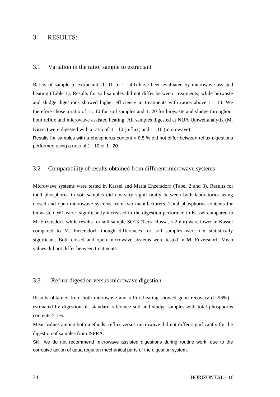### 3. RESULTS:

#### 3.1 Variation in the ratio: sample to extractant

Ratios of sample to extractant (1: 10 to 1 : 40) have been evaluated by microwave assisted heating (Table 1). Results for soil samples did not differ between treatments, while biowaste and sludge digestions showed higher efficiency in treatments with ratios above 1 : 10. We therefore chose a ratio of 1 : 10 for soil samples and 1: 20 for biowaste and sludge throughout both reflux and microwave assisted heating. All samples digested at NUA Umweltanalytik (M. Kisser) were digested with a ratio of 1 : 10 (reflux) and 1 : 16 (microwave).

Results for samples with a phosphorus content < 0,5 % did not differ between reflux digestions performed using a ratio of 1 : 10 or 1 : 20.

#### 3.2 Comparability of results obtained from different microwave systems

Microwave systems were tested in Kassel and Maria Enzersdorf (Tabel 2 and 3). Results for total phosphorus in soil samples did not vary significantly between both laboratories using closed and open microwave systems from two manufacturers. Total phosphorus contents for biowaste CW1 were significantly increased in the digestion performed in Kassel compared to M. Enzersdorf, while results for soil sample SO13 (Terra Rossa, < 2mm) were lower in Kassel compared to M. Enzersdorf, though differences for soil samples were not statistically significant. Both closed and open microwave systems were tested in M. Enzersdorf. Mean values did not differ between treatments.

#### 3.3 Reflux digestion versus microwave digestion

Results obtained from both microwave and reflux heating showed good recovery (> 96%) estimated by digestion of standard reference soil and sludge samples with total phosphorus contents  $> 1\%$ .

Mean values among both methods: reflux versus microwave did not differ significantly for the digestion of samples from ISPRA.

Still, we do not recommend microwave assisted digestions during routine work, due to the corrosive action of aqua regia on mechanical parts of the digestion system.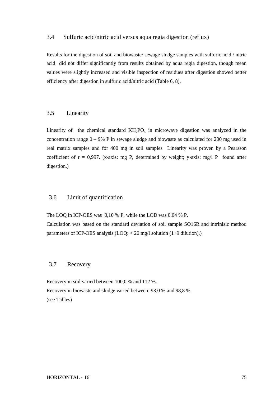#### 3.4 Sulfuric acid/nitric acid versus aqua regia digestion (reflux)

Results for the digestion of soil and biowaste/ sewage sludge samples with sulfuric acid / nitric acid did not differ significantly from results obtained by aqua regia digestion, though mean values were slightly increased and visible inspection of residues after digestion showed better efficiency after digestion in sulfuric acid/nitric acid (Table 6, 8).

#### 3.5 Linearity

Linearity of the chemical standard  $KH_2PO_4$  in microwave digestion was analyzed in the concentration range  $0 - 9%$  P in sewage sludge and biowaste as calculated for 200 mg used in real matrix samples and for 400 mg in soil samples Linearity was proven by a Pearsson coefficient of  $r = 0.997$ . (x-axis: mg P, determined by weight; y-axis: mg/l P found after digestion.)

#### 3.6 Limit of quantification

The LOQ in ICP-OES was 0,10 % P, while the LOD was 0,04 % P.

Calculation was based on the standard deviation of soil sample SO16R and intrinisic method parameters of ICP-OES analysis (LOQ: < 20 mg/l solution (1+9 dilution).)

### 3.7 Recovery

Recovery in soil varied between 100,0 % and 112 %. Recovery in biowaste and sludge varied between: 93,0 % and 98,8 %. (see Tables)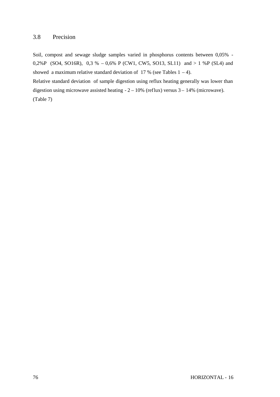### 3.8 Precision

Soil, compost and sewage sludge samples varied in phosphorus contents between 0,05% - 0,2%P (SO4, SO16R), 0,3 % – 0,6% P (CW1, CW5, SO13, SL11) and > 1 %P (SL4) and showed a maximum relative standard deviation of 17 % (see Tables  $1 - 4$ ).

Relative standard deviation of sample digestion using reflux heating generally was lower than digestion using microwave assisted heating  $-2 - 10\%$  (reflux) versus  $3 - 14\%$  (microwave). (Table 7)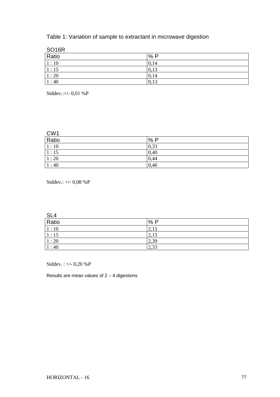# Table 1: Variation of sample to extractant in microwave digestion

| SO <sub>16R</sub> |      |
|-------------------|------|
| Ratio             | %P   |
| 1:10              | 0,14 |
| 1:15              | 0,13 |
| 1:20              | 0,14 |
| 1:40              | 0,13 |

Stddev.:+/- 0,01 %P

| CW1<br>Ratio   | %P   |
|----------------|------|
| $\boxed{1:10}$ | 0,33 |
| 1:15           | 0,40 |
| 1:20           | 0,44 |
| 1:40           | 0,46 |

Stddev.: +/- 0,08 %P

| $rac{\mathsf{SL4}}{\mathsf{Ratio}}$ |      |  |
|-------------------------------------|------|--|
|                                     | %P   |  |
| 1:10                                | 2,15 |  |
| 1:15                                | 2,15 |  |
| 1:20                                | 2,39 |  |
| 1:40                                | 2,33 |  |

Stddev. : +/- 0,20 %P

Results are mean values of  $2 - 4$  digestions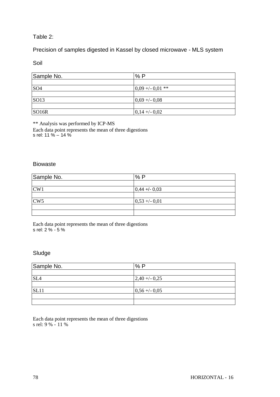### Table 2:

# Precision of samples digested in Kassel by closed microwave - MLS system

Soil

| Sample No.        | %P                |
|-------------------|-------------------|
|                   |                   |
| SO <sub>4</sub>   | $0.09 + -0.01$ ** |
|                   |                   |
| SO13              | $0,69 + -0,08$    |
|                   |                   |
| SO <sub>16R</sub> | $0,14 + (-0,02)$  |

\*\* Analysis was performed by ICP-MS

Each data point represents the mean of three digestions s rel: 11 % – 14 %

### Biowaste

| Sample No. | %P               |
|------------|------------------|
|            |                  |
| CW1        | $ 0,44 + (-0,03$ |
|            |                  |
| CW5        | $0,53 + (-0,01)$ |
|            |                  |
|            |                  |

Each data point represents the mean of three digestions s rel: 2 % - 5 %

# Sludge

| Sample No.      | %P               |
|-----------------|------------------|
|                 |                  |
| SL <sub>4</sub> | $2,40 + -0,25$   |
|                 |                  |
| SL11            | $0,56 + (-0,05)$ |
|                 |                  |
|                 |                  |

Each data point represents the mean of three digestions s rel: 9 % - 11 %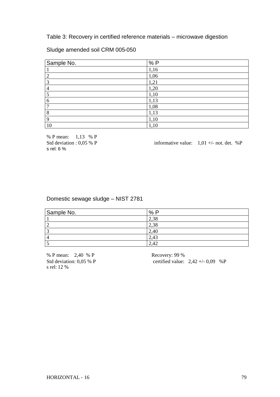Table 3: Recovery in certified reference materials – microwave digestion

### Sludge amended soil CRM 005-050

| Sample No. | %P   |
|------------|------|
|            | 1,16 |
|            | 1,06 |
| っ          | 1,21 |
|            | 1,20 |
|            | 1,10 |
| 6          | 1,13 |
| ⇁          | 1,08 |
| 8          | 1,13 |
|            | 1,10 |
| 10         | 1,10 |

% P mean: 1,13 % P<br>Std deviation : 0.05 % P s rel: 6 %

informative value:  $1,01 +/-$  not. det. %P

### Domestic sewage sludge – NIST 2781

| Sample No. | %P   |
|------------|------|
|            | 2,38 |
|            | 2,38 |
|            | 2,40 |
|            | 2,43 |
|            | 2,42 |

% P mean: 2,40 % P Recovery: 99 % s rel: 12 %

Std deviation:  $0.05\%$  P certified value:  $2.42 + (-0.09\%$  P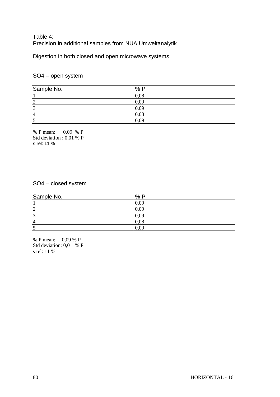# Table 4: Precision in additional samples from NUA Umweltanalytik

Digestion in both closed and open microwave systems

# SO4 – open system

| Sample No. | %P   |
|------------|------|
|            | 0,08 |
| 2          | 0,09 |
| 3          | 0,09 |
| 4          | 0,08 |
| כו         | 0,09 |

% P mean: 0,09 % P Std deviation : 0,01 % P s rel: 11 %

### SO4 – closed system

| Sample No.     | %P   |
|----------------|------|
|                | 0,09 |
| ∸              | 0,09 |
|                | 0,09 |
| $\overline{4}$ | 0,08 |
|                | 0,09 |

% P mean: 0,09 % P Std deviation: 0,01 % P s rel: 11 %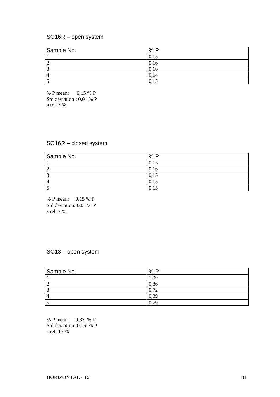#### SO16R – open system

| Sample No. | %<br>D                 |
|------------|------------------------|
|            |                        |
|            | 0,16                   |
|            | 0,16                   |
|            |                        |
|            | $\Omega$<br>-1<br>V, I |

% P mean: 0,15 % P Std deviation : 0,01 % P s rel: 7 %

#### SO16R – closed system

| Sample No. | %P        |
|------------|-----------|
|            | 0,15      |
|            | 0,16      |
| ⌒          | 0,15      |
| $\Delta$   | U,<br>-12 |
|            | v,        |

% P mean: 0,15 % P Std deviation: 0,01 % P s rel: 7 %

#### SO13 – open system

| Sample No. | %P   |
|------------|------|
|            | .09  |
|            | 0,86 |
|            | 0,72 |
|            | 0,89 |
|            | 70   |

% P mean: 0,87 % P Std deviation: 0,15 % P s rel: 17 %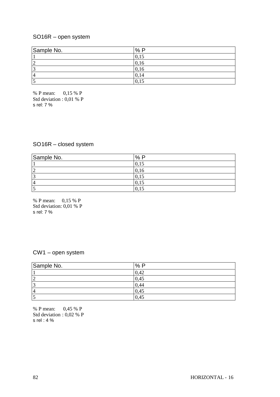# SO16R – open system

| Sample No. | %P   |
|------------|------|
|            | v.   |
| ◠<br>∼     | 0,16 |
| $\sqrt{2}$ | 0,16 |
| 4          | 0,14 |
|            | 0,15 |

% P mean: 0,15 % P Std deviation : 0,01 % P s rel: 7 %

# SO16R – closed system

| Sample No.     | %P   |
|----------------|------|
|                | 0,15 |
| $\overline{2}$ | 0,16 |
| 3              | 0,15 |
| l 4            | 0.15 |
|                | v.   |

% P mean: 0,15 % P Std deviation: 0,01 % P s rel: 7 %

# CW1 – open system

| Sample No.               | %P   |
|--------------------------|------|
|                          | 0,42 |
| ∽                        | 0,45 |
| $\sqrt{2}$               | 0,44 |
| $\overline{\mathcal{A}}$ | 0,45 |
|                          | 0,45 |

% P mean: 0,45 % P Std deviation : 0,02 % P s rel : 4 %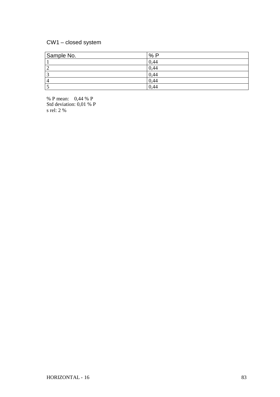# CW1 – closed system

| Sample No. | %<br>D |
|------------|--------|
|            | 0,44   |
|            | 0,44   |
|            | 0,44   |
|            | 0,44   |
|            | 0,44   |

% P mean: 0,44 % P Std deviation: 0,01 % P s rel: 2 %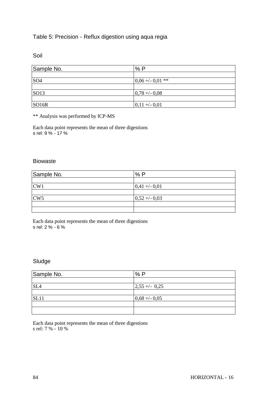# Table 5: Precision - Reflux digestion using aqua regia

Soil

| Sample No.        | %P                |
|-------------------|-------------------|
|                   |                   |
| SO <sub>4</sub>   | $0.06 + -0.01$ ** |
|                   |                   |
| SO13              | $0,78 + -0.08$    |
|                   |                   |
| SO <sub>16R</sub> | $ 0,11 + (-0,01$  |

\*\* Analysis was performed by ICP-MS

Each data point represents the mean of three digestions s rel: 9 % - 17 %

#### Biowaste

| Sample No. | %P             |
|------------|----------------|
|            |                |
| CW1        | $0,41 + -0,01$ |
|            |                |
| CW5        | $0,52 + -0,03$ |
|            |                |
|            |                |

Each data point represents the mean of three digestions s rel: 2 % - 6 %

### Sludge

| Sample No.      | %P                           |
|-----------------|------------------------------|
|                 |                              |
| SL <sub>4</sub> | $\left  2,55 + \right $ 0,25 |
|                 |                              |
| SL11            | $0,68 + -0,05$               |
|                 |                              |
|                 |                              |

Each data point represents the mean of three digestions s rel: 7 % - 10 %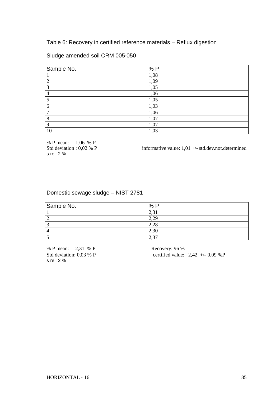Table 6: Recovery in certified reference materials – Reflux digestion

### Sludge amended soil CRM 005-050

| Sample No. | %P   |
|------------|------|
|            | 1,08 |
| ∍          | 1,09 |
| 3          | 1,05 |
| 4          | 1,06 |
|            | 1,05 |
| 6          | 1,03 |
|            | 1,06 |
| 8          | 1,07 |
| Q          | 1,07 |
| 10         | 1,03 |

% P mean: 1,06 % P<br>Std deviation : 0,02 % P s rel: 2 %

informative value:  $1,01 +$ -std.dev.not.determined

# Domestic sewage sludge – NIST 2781

| Sample No. | $\frac{0}{0}$<br>D          |
|------------|-----------------------------|
|            | ⌒<br>ال• کہ کے              |
|            | $2,2^{\circ}$               |
|            | ററ<br>$\angle$ , $\angle$ C |
|            | 2,30                        |
|            | $\sim$<br>$\sim$            |

% P mean: 2,31 % P Recovery: 96 % s rel: 2 %

Std deviation:  $0.03 \%$  P certified value:  $2.42 +/- 0.09 \%$  P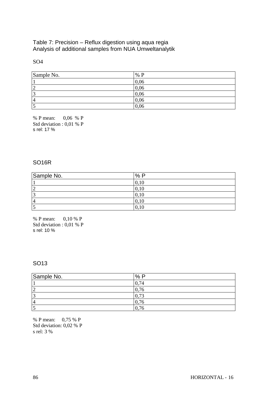### Table 7: Precision – Reflux digestion using aqua regia Analysis of additional samples from NUA Umweltanalytik

### SO4

| Sample No.         | % P  |
|--------------------|------|
|                    | 0,06 |
| ി<br>∸             | 0,06 |
| $\mathcal{L}$<br>ر | 0,06 |
| $\overline{4}$     | 0,06 |
|                    | 0,06 |

% P mean: 0,06 % P Std deviation : 0,01 % P s rel: 17 %

### SO16R

| Sample No. | %P   |
|------------|------|
|            | v.   |
|            | 0,10 |
|            | 0,10 |
| 4          | 0,10 |
|            | v.   |

% P mean: 0,10 % P Std deviation : 0,01 % P s rel: 10 %

### SO13

| Sample No. | %P                       |
|------------|--------------------------|
|            | 74<br>v.                 |
|            | $\mathbf{\tau}$          |
|            | $\overline{\phantom{a}}$ |
| 4          | 76                       |
|            | $\mathbf{\tau}$<br>v.    |

% P mean: 0,75 % P Std deviation: 0,02 % P s rel: 3 %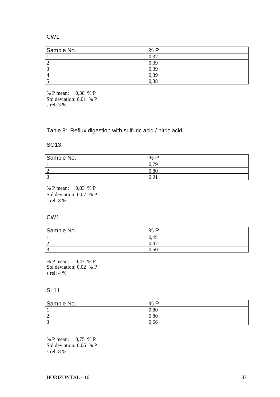### CW1

| Sample No. | %<br>D   |
|------------|----------|
|            | $\gamma$ |
|            | 0,39     |
|            | 0,39     |
|            | 0,39     |
|            | 0,38     |

% P mean: 0,38 % P Std deviation: 0,01 % P s rel: 3 %

Table 8: Reflux digestion with sulfuric acid / nitric acid

#### SO13

| Sample No.  | $\%$<br>D |
|-------------|-----------|
|             | ~^<br>v.  |
| $\sim$<br>∸ | 0.80      |
| $\sim$      | v.        |

% P mean: 0,83 % P Std deviation: 0,07 % P s rel: 8 %

#### CW1

| Sample No. | $\%$<br>- 0 |
|------------|-------------|
|            | 0.45        |
|            | 0,47        |
|            | $v_{\cdot}$ |

% P mean: 0,47 % P Std deviation: 0,02 % P s rel: 4 %

#### SL11

| Sample No.  | D<br>$\%$ |
|-------------|-----------|
|             | 0,80      |
| $\sim$<br>∠ | 0.80      |
| $\sim$<br>ັ | 0,66      |

% P mean: 0,75 % P Std deviation: 0,06 % P s rel: 8 %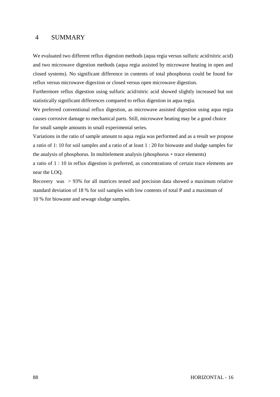### 4 SUMMARY

We evaluated two different reflux digestion methods (aqua regia versus sulfuric acid/nitric acid) and two microwave digestion methods (aqua regia assisted by microwave heating in open and closed systems). No significant difference in contents of total phosphorus could be found for reflux versus microwave digestion or closed versus open microwave digestion.

Furthermore reflux digestion using sulfuric acid/nitric acid showed slightly increased but not statistically significant differences compared to reflux digestion in aqua regia.

We preferred conventional reflux digestion, as microwave assisted digestion using aqua regia causes corrosive damage to mechanical parts. Still, microwave heating may be a good choice for small sample amounts in small experimental series.

Variations in the ratio of sample amount to aqua regia was performed and as a result we propose a ratio of 1: 10 for soil samples and a ratio of at least 1 : 20 for biowaste and sludge samples for the analysis of phosphorus. In multielement analysis (phosphorus + trace elements) a ratio of 1 : 10 in reflux digestion is preferred, as concentrations of certain trace elements are near the LOQ.

Recovery was > 93% for all matrices tested and precision data showed a maximum relative standard deviation of 18 % for soil samples with low contents of total P and a maximum of 10 % for biowaste and sewage sludge samples.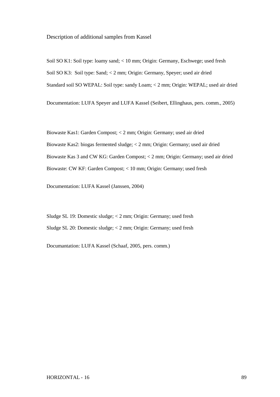#### Description of additional samples from Kassel

Soil SO K1: Soil type: loamy sand; < 10 mm; Origin: Germany, Eschwege; used fresh Soil SO K3: Soil type: Sand; < 2 mm; Origin: Germany, Speyer; used air dried Standard soil SO WEPAL: Soil type: sandy Loam; < 2 mm; Origin: WEPAL; used air dried

Documentation: LUFA Speyer and LUFA Kassel (Seibert, Ellinghaus, pers. comm., 2005)

Biowaste Kas1: Garden Compost; < 2 mm; Origin: Germany; used air dried Biowaste Kas2: biogas fermented sludge; < 2 mm; Origin: Germany; used air dried Biowaste Kas 3 and CW KG: Garden Compost; < 2 mm; Origin: Germany; used air dried Biowaste: CW KF: Garden Compost; < 10 mm; Origin: Germany; used fresh

Documentation: LUFA Kassel (Janssen, 2004)

Sludge SL 19: Domestic sludge; < 2 mm; Origin: Germany; used fresh Sludge SL 20: Domestic sludge; < 2 mm; Origin: Germany; used fresh

Documantation: LUFA Kassel (Schaaf, 2005, pers. comm.)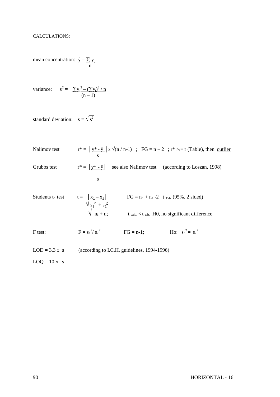mean concentration:  $\hat{y} = \sum y_i$ n

variance: 
$$
s^2 = \frac{\sum y_i^2 - (\sum y_i)^2 / n}{(n-1)}
$$

 $\overline{a}$ 

standard deviation:  $s = \sqrt{s^2}$ 

Nalimov test  $r^* = \int y^* - \hat{y} \int x \sqrt{n/n-1}$  ; FG = n – 2 ; r<sup>\*</sup> >/= r (Table), then <u>outlier</u> s Grubbs test  $r^* = |\mathbf{y}^* - \hat{\mathbf{y}}|$  see also Nalimov test (according to Loszan, 1998) s

Students t- test 
$$
t = \begin{vmatrix} x_1 - x_2 \\ y_2^2 + s_2^2 \end{vmatrix}
$$
 FG = n<sub>1</sub> + n<sub>2</sub> -2 t<sub>Tab</sub> (95%, 2 sides)  
\n $\sqrt{\frac{q_1^2 + q_2^2}{n_1 + n_2}}$  t<sub>calc</sub> < t<sub>tab</sub>, H0, no significant difference

F test:  $F = s_1^2 / s_2^2$  FG = n-1; Ho:  $s_1^2 = s_2^2$ 

 $LOD = 3.3 \times s$  (according to I.C.H. guidelines, 1994-1996)

 $LOQ = 10 x s$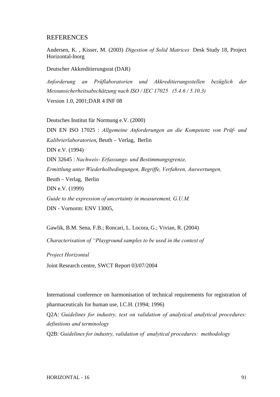#### **REFERENCES**

Andersen, K. , Kisser, M. (2003) *Digestion of Solid Matrices* Desk Study 18, Project Horizontal-Inorg

Deutscher Akkreditierungsrat (DAR)

*Anforderung an Prüflaboratorien und Akkreditierungsstellen bezüglich der Messunsicherheitsabschätzung nach ISO / IEC 17025 (5.4.6 / 5.10.3)* Version 1.0, 2001;DAR 4 INF 08

Deutsches Institut für Normung e.V. (2000) DIN EN ISO 17025 : *Allgemeine Anforderungen an die Kompetenz von Prüf- und Kalibrierlaboratorien*, Beuth – Verlag, Berlin DIN e.V. (1994) DIN 32645 : *Nachweis- Erfassungs- und Bestimmungsgrenze, Ermittlung unter Wiederholbedingungen, Begriffe, Verfahren, Auswertungen,* Beuth – Verlag, Berlin DIN e.V. (1999) *Guide to the expression of uncertainty in measurement, G.U.M.* DIN - Vornorm: ENV 13005,

Gawlik, B.M. Sena, F.B.; Roncari, L. Locora, G.; Vivian, R. (2004)

*Characterisation of "Playground samples to be used in the context of*

*Project Horizontal*

Joint Research centre, SWCT Report 03/07/2004

International conference on harmonisation of technical requirements for registration of pharmaceuticals for human use, I.C.H. (1994; 1996)

Q2A: *Guidelines for industry, text on validation of analytical analytical procedures: definitions and terminology*

Q2B: *Guidelines for industry, validation of analytical procedures: methodology*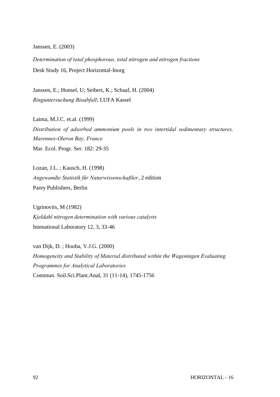Janssen, E. (2003)

*Determination of total phosphorous, total nitrogen and nitrogen fractions* Desk Study 16, Project Horizontal-Inorg

Janssen, E.; Honsel, U; Seibert, K.; Schaaf, H. (2004) *Ringuntersuchung Bioabfall*; LUFA Kassel

Laima, M.J.C. et.al. (1999) *Distribution of adsorbed ammonium pools in two intertidal sedimentary structures, Marennes-Oleron Bay, France* Mar. Ecol. Progr. Ser. 182: 29-35

Lozan, J.L. ; Kausch, H. (1998) *Angewandte Statistik für Naturwissenschaftler*, 2 edition Parey Publishers, Berlin

Ugrinovits, M (1982) *Kjeldahl nitrogen determination with various catalysts* Intenational Laboratory 12, 3, 33-46

van Dijk, D. ; Houba, V.J.G. (2000) *Homogeneity and Stability of Material distributed within the Wageningen Evaluating Programmes for Analytical Laboratories* Commun. Soil.Sci.Plant.Anal, 31 (11-14), 1745-1756